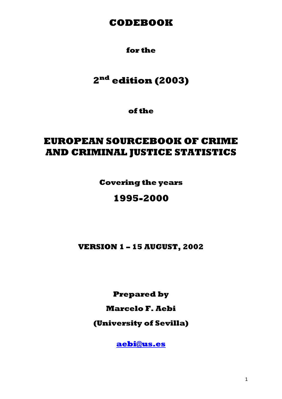# **CODEBOOK**

# **for the**

# **2nd edition (2003)**

**of the** 

# **EUROPEAN SOURCEBOOK OF CRIME AND CRIMINAL JUSTICE STATISTICS**

**Covering the years** 

# **1995-2000**

**VERSION 1 – 15 AUGUST, 2002** 

**Prepared by** 

**Marcelo F. Aebi** 

**(University of Sevilla)** 

**aebi@us.es**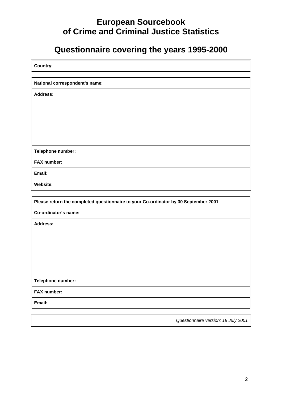# **European Sourcebook of Crime and Criminal Justice Statistics**

# **Questionnaire covering the years 1995-2000**

| Country: |  |
|----------|--|
|          |  |

**National correspondent's name:** 

**Address:** 

**Telephone number:** 

**FAX number:** 

**Email:** 

**Website:** 

**Please return the completed questionnaire to your Co-ordinator by 30 September 2001** 

**Co-ordinator's name:** 

**Address:** 

**Telephone number:** 

**FAX number:** 

**Email:** 

*Questionnaire version: 19 July 2001*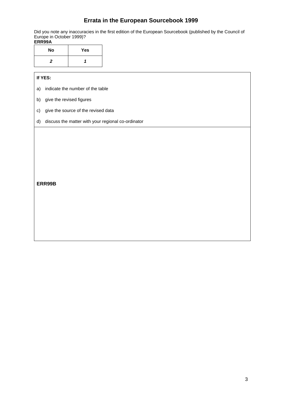# **Errata in the European Sourcebook 1999**

Did you note any inaccuracies in the first edition of the European Sourcebook (published by the Council of Europe in October 1999)?

#### **ERR99A**

| <b>No</b> | Yes |
|-----------|-----|
| 2         |     |

#### **If YES:**

a) indicate the number of the table

b) give the revised figures

c) give the source of the revised data

#### d) discuss the matter with your regional co-ordinator

**ERR99B**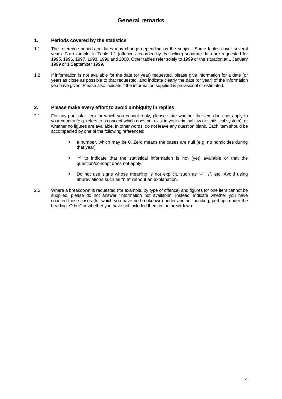#### **1. Periods covered by the statistics**

- 1.1 The reference periods or dates may change depending on the subject. Some tables cover several years. For example, in Table 1.1 (offences recorded by the police) separate data are requested for 1995, 1996, 1997, 1998, 1999 and 2000. Other tables refer solely to 1999 or the situation at 1 January 1999 or 1 September 1999.
- 1.2 If information is not available for the date (or year) requested, please give information for a date (or year) as close as possible to that requested, and indicate clearly the date (or year) of the information you have given. Please also indicate if the information supplied is provisional or estimated.

#### **2. Please make every effort to avoid ambiguity in replies**

- 2.1 For any particular item for which you cannot reply, please state whether the item does not apply to your country (e.g. refers to a concept which does not exist in your criminal law or statistical system), or whether no figures are available. In other words, do not leave any question blank. Each item should be accompanied by one of the following references:
	- a number, which may be 0. Zero means the cases are null (e.g. no homicides during that year)
	- "**\***" to indicate that the statistical information is not (yet) available or that the question/concept does not apply.
	- Do not use signs whose meaning is not explicit, such as "**-**", "**/**", etc. Avoid using abbreviations such as "n.a" without an explanation.
- 2.2 Where a breakdown is requested (for example, by type of offence) and figures for one item cannot be supplied, please do not answer "information not available". Instead, indicate whether you have counted these cases (for which you have no breakdown) under another heading, perhaps under the heading "Other" or whether you have not included them in the breakdown.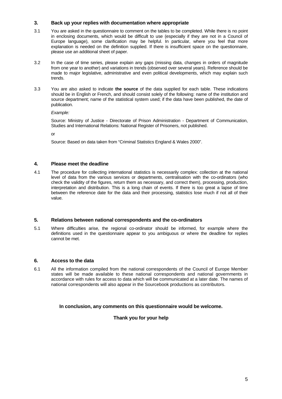#### **3. Back up your replies with documentation where appropriate**

- 3.1 You are asked in the questionnaire to comment on the tables to be completed. While there is no point in enclosing documents, which would be difficult to use (especially if they are not in a Council of Europe language), some clarification may be helpful. In particular, where you feel that more explanation is needed on the definition supplied. If there is insufficient space on the questionnaire, please use an additional sheet of paper.
- 3.2 In the case of time series, please explain any gaps (missing data, changes in orders of magnitude from one year to another) and variations in trends (observed over several years). Reference should be made to major legislative, administrative and even political developments, which may explain such trends.
- 3.3 You are also asked to indicate **the source** of the data supplied for each table. These indications should be in English or French, and should consist solely of the following: name of the institution and source department; name of the statistical system used; if the data have been published, the date of publication.

*Example:*

 Source: Ministry of Justice - Directorate of Prison Administration - Department of Communication, Studies and International Relations: National Register of Prisoners, not published.

or

Source: Based on data taken from "Criminal Statistics England & Wales 2000".

#### **4. Please meet the deadline**

4.1 The procedure for collecting international statistics is necessarily complex: collection at the national level of data from the various services or departments, centralisation with the co-ordinators (who check the validity of the figures, return them as necessary, and correct them), processing, production, interpretation and distribution. This is a long chain of events. If there is too great a lapse of time between the reference date for the data and their processing, statistics lose much if not all of their value.

#### **5. Relations between national correspondents and the co-ordinators**

5.1 Where difficulties arise, the regional co-ordinator should be informed, for example where the definitions used in the questionnaire appear to you ambiguous or where the deadline for replies cannot be met.

#### **6. Access to the data**

6.1 All the information compiled from the national correspondents of the Council of Europe Member states will be made available to these national correspondents and national governments in accordance with rules for access to data which will be communicated at a later date. The names of national correspondents will also appear in the Sourcebook productions as contributors.

#### **In conclusion, any comments on this questionnaire would be welcome.**

**Thank you for your help**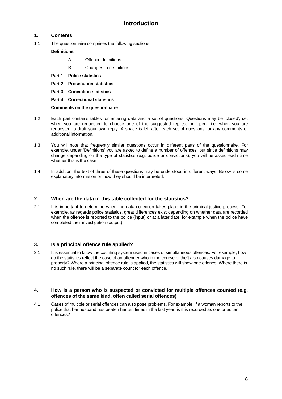#### **1. Contents**

1.1 The questionnaire comprises the following sections:

#### **Definitions**

- A. Offence definitions
- B. Changes in definitions
- **Part 1 Police statistics**
- **Part 2 Prosecution statistics**
- **Part 3 Conviction statistics**
- **Part 4 Correctional statistics**

**Comments on the questionnaire**

- 1.2 Each part contains tables for entering data and a set of questions. Questions may be 'closed', i.e. when you are requested to choose one of the suggested replies, or 'open', i.e. when you are requested to draft your own reply. A space is left after each set of questions for any comments or additional information.
- 1.3 You will note that frequently similar questions occur in different parts of the questionnaire. For example, under 'Definitions' you are asked to define a number of offences, but since definitions may change depending on the type of statistics (e.g. police or convictions), you will be asked each time whether this is the case.
- 1.4 In addition, the text of three of these questions may be understood in different ways. Below is some explanatory information on how they should be interpreted.

#### **2. When are the data in this table collected for the statistics?**

2.1 It is important to determine when the data collection takes place in the criminal justice process. For example, as regards police statistics, great differences exist depending on whether data are recorded when the offence is reported to the police (input) or at a later date, for example when the police have completed their investigation (output).

#### **3. Is a principal offence rule applied?**

3.1 It is essential to know the counting system used in cases of simultaneous offences. For example, how do the statistics reflect the case of an offender who in the course of theft also causes damage to property? Where a principal offence rule is applied, the statistics will show one offence. Where there is no such rule, there will be a separate count for each offence.

#### **4. How is a person who is suspected or convicted for multiple offences counted (e.g. offences of the same kind, often called serial offences)**

4.1 Cases of multiple or serial offences can also pose problems. For example, if a woman reports to the police that her husband has beaten her ten times in the last year, is this recorded as one or as ten offences?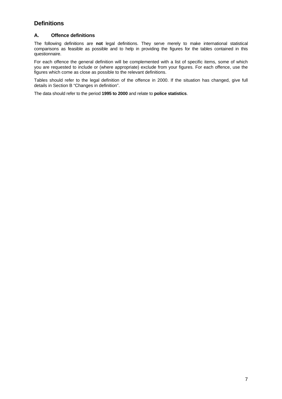# **Definitions**

#### **A. Offence definitions**

The following definitions are **not** legal definitions. They serve merely to make international statistical comparisons as feasible as possible and to help in providing the figures for the tables contained in this questionnaire.

For each offence the general definition will be complemented with a list of specific items, some of which you are requested to include or (where appropriate) exclude from your figures. For each offence, use the figures which come as close as possible to the relevant definitions.

Tables should refer to the legal definition of the offence in 2000. If the situation has changed, give full details in Section B "Changes in definition".

The data should refer to the period **1995 to 2000** and relate to **police statistics**.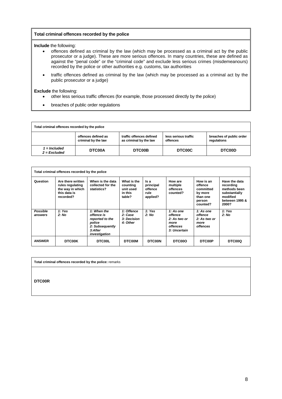#### **Total criminal offences recorded by the police**

**Include** the following:

- offences defined as criminal by the law (which may be processed as a criminal act by the public prosecutor or a judge). These are more serious offences. In many countries, these are defined as against the "penal code" or the "criminal code" and exclude less serious crimes (misdemeanours) recorded by the police or other authorities e.g. customs, tax authorities
- traffic offences defined as criminal by the law (which may be processed as a criminal act by the public prosecutor or a judge)

#### **Exclude** the following:

- other less serious traffic offences (for example, those processed directly by the police)
- breaches of public order regulations

| Total criminal offences recorded by the police |                                            |                                                    |                                  |                                         |  |  |  |  |  |
|------------------------------------------------|--------------------------------------------|----------------------------------------------------|----------------------------------|-----------------------------------------|--|--|--|--|--|
|                                                | offences defined as<br>criminal by the law | traffic offences defined<br>as criminal by the law | less serious traffic<br>offences | breaches of public order<br>regulations |  |  |  |  |  |
| 1 = Included<br>$2$ = Excluded                 | <b>DTC00A</b>                              | DTC00B                                             | DTC00C                           | DTC00D                                  |  |  |  |  |  |

| Total criminal offences recorded by the police |                                                                                        |                                                                                                       |                                                           |                                                  |                                                                          |                                                                                |                                                                                                    |  |  |
|------------------------------------------------|----------------------------------------------------------------------------------------|-------------------------------------------------------------------------------------------------------|-----------------------------------------------------------|--------------------------------------------------|--------------------------------------------------------------------------|--------------------------------------------------------------------------------|----------------------------------------------------------------------------------------------------|--|--|
| Question                                       | Are there written<br>rules regulating<br>the way in which<br>this data is<br>recorded? | When is the data<br>collected for the<br>statistics?                                                  | What is the<br>counting<br>unit used<br>in this<br>table? | Is a<br>principal<br>offence<br>rule<br>applied? | How are<br>multiple<br>offences<br>counted?                              | How is an<br>offence<br>committed<br>by more<br>than one<br>person<br>counted? | Have the data<br>recording<br>methods been<br>substantially<br>modified<br>between 1995 &<br>2000? |  |  |
| Possible<br>answers                            | 1: Yes<br>2: No                                                                        | 1: When the<br>offence is<br>reported to the<br>police<br>2: Subsequently<br>3:After<br>investigation | 1: Offence<br>2: Case<br>3: Decision<br>4: Other          | 1: Yes<br>2: No                                  | 1: As one<br>offence<br>2: As two or<br>more<br>offences<br>3: Uncertain | 1: As one<br>offence<br>2: As two or<br>more<br>offences                       | 1: Yes<br>2: No                                                                                    |  |  |
| <b>ANSWER</b>                                  | <b>DTC00K</b>                                                                          | <b>DTC00L</b>                                                                                         | <b>DTC00M</b>                                             | <b>DTC00N</b>                                    | DTC00O                                                                   | <b>DTC00P</b>                                                                  | DTC00Q                                                                                             |  |  |

**Total criminal offences recorded by the police:** remarks

**DTC00R**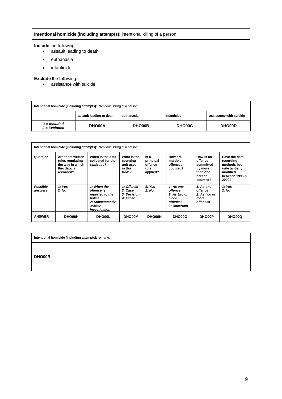#### **Intentional homicide (including attempts):** intentional killing of a person

#### **Include** the following:

- assault leading to death
- euthanasia
- infanticide

#### **Exclude** the following:

• assistance with suicide

| Intentional homicide (including attempts): intentional killing of a person       |        |        |        |        |  |  |  |  |  |
|----------------------------------------------------------------------------------|--------|--------|--------|--------|--|--|--|--|--|
| assistance with suicide<br>assault leading to death<br>infanticide<br>euthanasia |        |        |        |        |  |  |  |  |  |
| = Included<br>$2 = Excluded$                                                     | DHO00A | DHO00B | DHO00C | DHO00D |  |  |  |  |  |

| Intentional homicide (including attempts): intentional killing of a person |                                                                                        |                                                                                                       |                                                           |                                                  |                                                                          |                                                                                |                                                                                                    |  |  |
|----------------------------------------------------------------------------|----------------------------------------------------------------------------------------|-------------------------------------------------------------------------------------------------------|-----------------------------------------------------------|--------------------------------------------------|--------------------------------------------------------------------------|--------------------------------------------------------------------------------|----------------------------------------------------------------------------------------------------|--|--|
| Question                                                                   | Are there written<br>rules regulating<br>the way in which<br>this data is<br>recorded? | When is the data<br>collected for the<br>statistics?                                                  | What is the<br>countina<br>unit used<br>in this<br>table? | ls a<br>principal<br>offence<br>rule<br>applied? | How are<br>multiple<br>offences<br>counted?                              | How is an<br>offence<br>committed<br>by more<br>than one<br>person<br>counted? | Have the data<br>recording<br>methods been<br>substantially<br>modified<br>between 1995 &<br>2000? |  |  |
| <b>Possible</b><br>answers                                                 | 1: Yes<br>2: No                                                                        | 1: When the<br>offence is<br>reported to the<br>police<br>2: Subsequently<br>3:After<br>investigation | 1: Offence<br>2: Case<br>3: Decision<br>4: Other          | 1: Yes<br>2: No                                  | 1: As one<br>offence<br>2: As two or<br>more<br>offences<br>3: Uncertain | 1: As one<br>offence<br>2: As two or<br>more<br><b>offences</b>                | 1: Yes<br>2: No                                                                                    |  |  |
| <b>ANSWER</b>                                                              | <b>DHO00K</b>                                                                          | <b>DHO00L</b>                                                                                         | <b>DHO00M</b>                                             | <b>DHO00N</b>                                    | DHO00O                                                                   | <b>DHO00P</b>                                                                  | DHO00Q                                                                                             |  |  |

**Intentional homicide (including attempts):** remarks

**DHO00R**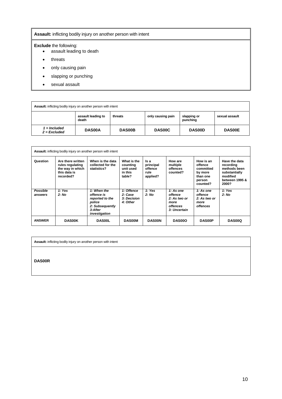#### **Assault:** inflicting bodily injury on another person with intent

#### **Exclude** the following:

- assault leading to death
- threats
- only causing pain
- slapping or punching
- sexual assault

| Assault: inflicting bodily injury on another person with intent                                          |               |        |               |               |               |  |  |  |  |  |
|----------------------------------------------------------------------------------------------------------|---------------|--------|---------------|---------------|---------------|--|--|--|--|--|
| assault leading to<br>only causing pain<br>threats<br>slapping or<br>sexual assault<br>punching<br>death |               |        |               |               |               |  |  |  |  |  |
| 1 = Included<br>$2 = Excluded$                                                                           | <b>DAS00A</b> | DAS00B | <b>DAS00C</b> | <b>DAS00D</b> | <b>DAS00E</b> |  |  |  |  |  |

| <b>Assault:</b> inflicting bodily injury on another person with intent |                                                                                        |                                                                                                       |                                                           |                                                  |                                                                                 |                                                                                |                                                                                                    |  |  |  |
|------------------------------------------------------------------------|----------------------------------------------------------------------------------------|-------------------------------------------------------------------------------------------------------|-----------------------------------------------------------|--------------------------------------------------|---------------------------------------------------------------------------------|--------------------------------------------------------------------------------|----------------------------------------------------------------------------------------------------|--|--|--|
| Question                                                               | Are there written<br>rules regulating<br>the way in which<br>this data is<br>recorded? | When is the data<br>collected for the<br>statistics?                                                  | What is the<br>counting<br>unit used<br>in this<br>table? | ls a<br>principal<br>offence<br>rule<br>applied? | How are<br>multiple<br>offences<br>counted?                                     | How is an<br>offence<br>committed<br>by more<br>than one<br>person<br>counted? | Have the data<br>recording<br>methods been<br>substantially<br>modified<br>between 1995 &<br>2000? |  |  |  |
| Possible<br>answers                                                    | 1: Yes<br>2: No                                                                        | 1: When the<br>offence is<br>reported to the<br>police<br>2: Subsequently<br>3:After<br>investigation | 1: Offence<br>2: Case<br>3: Decision<br>4: Other          | 1: Yes<br>2: No                                  | 1: As one<br>offence<br>2: As two or<br>more<br><i>offences</i><br>3: Uncertain | 1: As one<br>offence<br>2: As two or<br>more<br><b>offences</b>                | 1: Yes<br>2: No                                                                                    |  |  |  |
| <b>ANSWER</b>                                                          | <b>DAS00K</b>                                                                          | <b>DAS00L</b>                                                                                         | <b>DAS00M</b>                                             | <b>DAS00N</b>                                    | DAS00O                                                                          | <b>DAS00P</b>                                                                  | <b>DAS00Q</b>                                                                                      |  |  |  |

**Assault:** inflicting bodily injury on another person with intent

**DAS00R**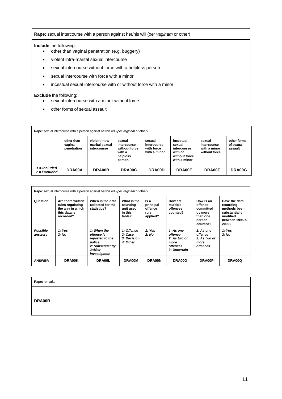**Rape:** sexual intercourse with a person against her/his will (*per vaginam* or other)

**Include** the following:

- other than vaginal penetration (e.g. buggery)
- violent intra-marital sexual intercourse
- sexual intercourse without force with a helpless person
- sexual intercourse with force with a minor
- incestual sexual intercourse with or without force with a minor

#### **Exclude** the following:

- sexual intercourse with a minor without force
- other forms of sexual assault

| <b>Rape:</b> sexual intercourse with a person against her/his will (per vaginam or other) |                                      |                                                 |                                                                        |                                                     |                                                                                |                                                        |                                     |  |  |  |
|-------------------------------------------------------------------------------------------|--------------------------------------|-------------------------------------------------|------------------------------------------------------------------------|-----------------------------------------------------|--------------------------------------------------------------------------------|--------------------------------------------------------|-------------------------------------|--|--|--|
|                                                                                           | other than<br>vaginal<br>penetration | violent intra-<br>marital sexual<br>intercourse | sexual<br>intercourse<br>without force<br>with a<br>helpless<br>person | sexual<br>intercourse<br>with force<br>with a minor | incestual<br>sexual<br>intercourse<br>with or<br>without force<br>with a minor | sexual<br>intercourse<br>with a minor<br>without force | other forms<br>of sexual<br>assault |  |  |  |
| $1 =$ Included<br>$2$ = Excluded                                                          | DRA00A                               | DRA00B                                          | DRA00C                                                                 | DRA00D                                              | DRA00E                                                                         | <b>DRA00F</b>                                          | DRA00G                              |  |  |  |

| <b>Rape:</b> sexual intercourse with a person against her/his will (per vaginam or other) |                                                                                        |                                                                                                       |                                                           |                                                  |                                                                                 |                                                                                |                                                                                                    |  |  |
|-------------------------------------------------------------------------------------------|----------------------------------------------------------------------------------------|-------------------------------------------------------------------------------------------------------|-----------------------------------------------------------|--------------------------------------------------|---------------------------------------------------------------------------------|--------------------------------------------------------------------------------|----------------------------------------------------------------------------------------------------|--|--|
| Question                                                                                  | Are there written<br>rules regulating<br>the way in which<br>this data is<br>recorded? | When is the data<br>collected for the<br>statistics?                                                  | What is the<br>counting<br>unit used<br>in this<br>table? | ls a<br>principal<br>offence<br>rule<br>applied? | How are<br>multiple<br>offences<br>counted?                                     | How is an<br>offence<br>committed<br>by more<br>than one<br>person<br>counted? | Have the data<br>recording<br>methods been<br>substantially<br>modified<br>between 1995 &<br>2000? |  |  |
| Possible<br>answers                                                                       | 1: Yes<br>2: No                                                                        | 1: When the<br>offence is<br>reported to the<br>police<br>2: Subsequently<br>3:After<br>investigation | 1: Offence<br>2: Case<br><b>3: Decision</b><br>4: Other   | 1: Yes<br>2: No                                  | 1: As one<br>offence<br>2: As two or<br>more<br><b>offences</b><br>3: Uncertain | 1: As one<br>offence<br>2: As two or<br>more<br>offences                       | 1: Yes<br>2: No                                                                                    |  |  |
| <b>ANSWER</b>                                                                             | DRA00K                                                                                 | DRA00L                                                                                                | DR A00M                                                   | DRA00N                                           | DRA00O                                                                          | DRA00P                                                                         | DRA00Q                                                                                             |  |  |

**Rape:** remarks

**DRA00R**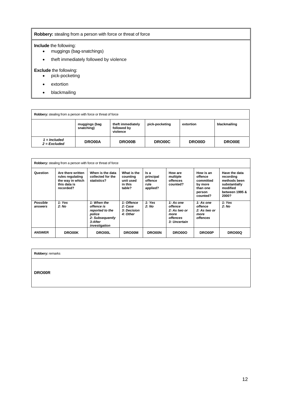#### **Robbery:** stealing from a person with force or threat of force

#### **Include** the following:

- muggings (bag-snatchings)
- theft immediately followed by violence

#### **Exclude** the following:

- pick-pocketing
- extortion
- blackmailing

| <b>Robbery:</b> stealing from a person with force or threat of force                                                       |        |        |        |        |               |  |  |  |  |  |
|----------------------------------------------------------------------------------------------------------------------------|--------|--------|--------|--------|---------------|--|--|--|--|--|
| theft immediately<br>pick-pocketing<br>blackmailing<br>muggings (bag<br>extortion<br>followed by<br>snatching)<br>violence |        |        |        |        |               |  |  |  |  |  |
| 1 = Included<br>$2$ = Excluded                                                                                             | DRO00A | DRO00B | DRO00C | DRO00D | <b>DRO00E</b> |  |  |  |  |  |

| <b>Robbery:</b> stealing from a person with force or threat of force |                                                                                        |                                                                                                       |                                                           |                                                  |                                                                                 |                                                                                |                                                                                                    |  |  |  |
|----------------------------------------------------------------------|----------------------------------------------------------------------------------------|-------------------------------------------------------------------------------------------------------|-----------------------------------------------------------|--------------------------------------------------|---------------------------------------------------------------------------------|--------------------------------------------------------------------------------|----------------------------------------------------------------------------------------------------|--|--|--|
| Question                                                             | Are there written<br>rules regulating<br>the way in which<br>this data is<br>recorded? | When is the data<br>collected for the<br>statistics?                                                  | What is the<br>counting<br>unit used<br>in this<br>table? | ls a<br>principal<br>offence<br>rule<br>applied? | How are<br>multiple<br>offences<br>counted?                                     | How is an<br>offence<br>committed<br>by more<br>than one<br>person<br>counted? | Have the data<br>recording<br>methods been<br>substantially<br>modified<br>between 1995 &<br>2000? |  |  |  |
| Possible<br>answers                                                  | 1: Yes<br>2: No                                                                        | 1: When the<br>offence is<br>reported to the<br>police<br>2: Subsequently<br>3:After<br>investigation | 1: Offence<br>2: Case<br>3: Decision<br>4: Other          | 1: Yes<br>2: No                                  | 1: As one<br>offence<br>2: As two or<br>more<br><b>offences</b><br>3: Uncertain | 1: As one<br>offence<br>2: As two or<br>more<br>offences                       | 1: Yes<br>2: No                                                                                    |  |  |  |
| <b>ANSWER</b>                                                        | <b>DRO00K</b>                                                                          | <b>DRO00L</b>                                                                                         | <b>DRO00M</b>                                             | <b>DRO00N</b>                                    | DRO00O                                                                          | DRO00P                                                                         | DRO00Q                                                                                             |  |  |  |

**Robbery:** remarks

**DRO00R**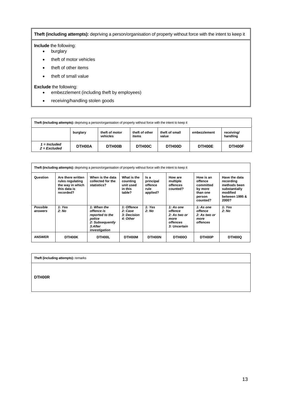#### **Theft (including attempts):** depriving a person/organisation of property without force with the intent to keep it

#### **Include** the following:

- burglary
- theft of motor vehicles
- theft of other items
- theft of small value

#### **Exclude** the following:

- embezzlement (including theft by employees)
- receiving/handling stolen goods

| Theft (including attempts): depriving a person/organisation of property without force with the intent to keep it |          |                            |                         |                         |              |                        |
|------------------------------------------------------------------------------------------------------------------|----------|----------------------------|-------------------------|-------------------------|--------------|------------------------|
|                                                                                                                  | burglary | theft of motor<br>vehicles | theft of other<br>items | theft of small<br>value | embezzlement | receiving/<br>handling |
| $1 =$ Included<br>$2$ = Excluded                                                                                 | DTH00A   | DTH00B                     | DTH00C                  | DTH00D                  | DTH00E       | DTH00F                 |

|                            | Theft (including attempts): depriving a person/organisation of property without force with the intent to keep it |                                                                                                       |                                                           |                                                  |                                                                          |                                                                                |                                                                                                    |
|----------------------------|------------------------------------------------------------------------------------------------------------------|-------------------------------------------------------------------------------------------------------|-----------------------------------------------------------|--------------------------------------------------|--------------------------------------------------------------------------|--------------------------------------------------------------------------------|----------------------------------------------------------------------------------------------------|
| Question                   | Are there written<br>rules regulating<br>the way in which<br>this data is<br>recorded?                           | When is the data<br>collected for the<br>statistics?                                                  | What is the<br>counting<br>unit used<br>in this<br>table? | ls a<br>principal<br>offence<br>rule<br>applied? | How are<br>multiple<br>offences<br>counted?                              | How is an<br>offence<br>committed<br>by more<br>than one<br>person<br>counted? | Have the data<br>recording<br>methods been<br>substantially<br>modified<br>between 1995 &<br>2000? |
| <b>Possible</b><br>answers | 1: Yes<br>2: No                                                                                                  | 1: When the<br>offence is<br>reported to the<br>police<br>2: Subsequently<br>3:After<br>investigation | 1: Offence<br>2: Case<br><b>3: Decision</b><br>4: Other   | 1: Yes<br>2: No                                  | 1: As one<br>offence<br>2: As two or<br>more<br>offences<br>3: Uncertain | 1: As one<br>offence<br>2: As two or<br>more<br>offences                       | 1: Yes<br>2: No                                                                                    |
| <b>ANSWER</b>              | DTH00K                                                                                                           | DTH00L                                                                                                | <b>DTHOOM</b>                                             | <b>DTHOON</b>                                    | DTH00O                                                                   | DTH00P                                                                         | DTH00Q                                                                                             |

**Theft (including attempts):** remarks

**DTH00R**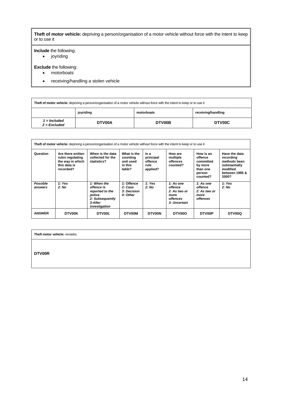**Theft of motor vehicle:** depriving a person/organisation of a motor vehicle without force with the intent to keep or to use it

**Include** the following:

• joyriding

**Exclude** the following:

- motorboats
- receiving/handling a stolen vehicle

| Theft of motor vehicle: depriving a person/organisation of a motor vehicle without force with the intent to keep or to use it |        |        |        |  |
|-------------------------------------------------------------------------------------------------------------------------------|--------|--------|--------|--|
| receiving/handling<br>joyriding<br>motorboats                                                                                 |        |        |        |  |
| 1 = Included<br>$2 = Excluded$                                                                                                | DTV00A | DTV00B | DTV00C |  |

|                            | Theft of motor vehicle: depriving a person/organisation of a motor vehicle without force with the intent to keep or to use it |                                                                                                       |                                                           |                                                  |                                                                                 |                                                                                |                                                                                                    |
|----------------------------|-------------------------------------------------------------------------------------------------------------------------------|-------------------------------------------------------------------------------------------------------|-----------------------------------------------------------|--------------------------------------------------|---------------------------------------------------------------------------------|--------------------------------------------------------------------------------|----------------------------------------------------------------------------------------------------|
| Question                   | Are there written<br>rules regulating<br>the way in which<br>this data is<br>recorded?                                        | When is the data<br>collected for the<br>statistics?                                                  | What is the<br>counting<br>unit used<br>in this<br>table? | ls a<br>principal<br>offence<br>rule<br>applied? | How are<br>multiple<br>offences<br>counted?                                     | How is an<br>offence<br>committed<br>by more<br>than one<br>person<br>counted? | Have the data<br>recording<br>methods been<br>substantially<br>modified<br>between 1995 &<br>2000? |
| <b>Possible</b><br>answers | 1: Yes<br>2: No                                                                                                               | 1: When the<br>offence is<br>reported to the<br>police<br>2: Subsequently<br>3:After<br>investigation | 1: Offence<br>2: Case<br><b>3: Decision</b><br>4: Other   | 1: Yes<br>2: No                                  | 1: As one<br>offence<br>2: As two or<br>more<br><b>offences</b><br>3: Uncertain | 1: As one<br>offence<br>2: As two or<br>more<br>offences                       | 1: Yes<br>2: No                                                                                    |
| <b>ANSWER</b>              | <b>DTV00K</b>                                                                                                                 | <b>DTV00L</b>                                                                                         | <b>DTV00M</b>                                             | DTV00N                                           | DTV00O                                                                          | DTV00P                                                                         | DTV00Q                                                                                             |

| Theft motor vehicle: remarks |  |  |
|------------------------------|--|--|
|                              |  |  |
| <b>DTV00R</b>                |  |  |
|                              |  |  |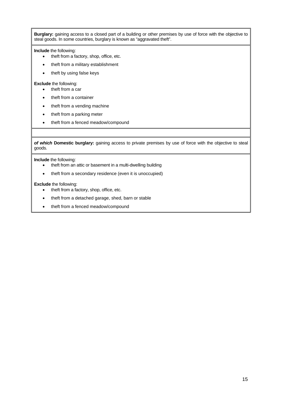**Burglary:** gaining access to a closed part of a building or other premises by use of force with the objective to steal goods. In some countries, burglary is known as "aggravated theft".

**Include** the following:

- theft from a factory, shop, office, etc.
- theft from a military establishment
- theft by using false keys

#### **Exclude** the following:

- theft from a car
- theft from a container
- theft from a vending machine
- theft from a parking meter
- theft from a fenced meadow/compound

*of which* **Domestic burglary:** gaining access to private premises by use of force with the objective to steal goods.

**Include** the following:

- theft from an attic or basement in a multi-dwelling building
- theft from a secondary residence (even it is unoccupied)

**Exclude** the following:

- theft from a factory, shop, office, etc.
- theft from a detached garage, shed, barn or stable
- theft from a fenced meadow/compound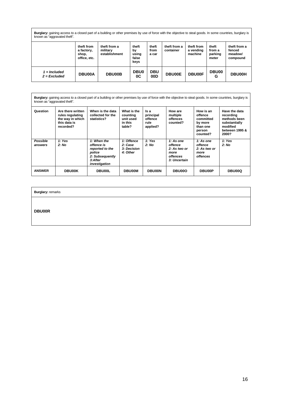**Burglary:** gaining access to a closed part of a building or other premises by use of force with the objective to steal goods. In some countries, burglary is known as "aggravated theft".

|                                | theft from<br>a factory,<br>shop,<br>office, etc. | theft from a<br>military<br>establishment | theft<br>by<br>using<br>false<br>keys | theft<br>from<br>a car | theft from a<br>container | theft from<br>a vending<br>machine | theft<br>from a<br>parking<br>meter | theft from a<br>fenced<br>meadow/<br>compound |
|--------------------------------|---------------------------------------------------|-------------------------------------------|---------------------------------------|------------------------|---------------------------|------------------------------------|-------------------------------------|-----------------------------------------------|
| 1 = Included<br>$2$ = Excluded | <b>DBU00A</b>                                     | <b>DBU00B</b>                             | <b>DBU0</b><br>0C                     | <b>DBU</b><br>00D      | <b>DBU00E</b>             | <b>DBU00F</b>                      | DBU00<br>G                          | <b>DBU00H</b>                                 |

**Burglary:** gaining access to a closed part of a building or other premises by use of force with the objective to steal goods. In some countries, burglary is known as "aggravated theft".

| Question            | Are there written<br>rules regulating<br>the way in which<br>this data is<br>recorded? | When is the data<br>collected for the<br>statistics?                                                  | What is the<br>counting<br>unit used<br>in this<br>table? | ls a<br>principal<br>offence<br>rule<br>applied? | How are<br>multiple<br>offences<br>counted?                                     | How is an<br>offence<br>committed<br>by more<br>than one<br>person<br>counted? | Have the data<br>recording<br>methods been<br>substantially<br>modified<br>between 1995 &<br>2000? |
|---------------------|----------------------------------------------------------------------------------------|-------------------------------------------------------------------------------------------------------|-----------------------------------------------------------|--------------------------------------------------|---------------------------------------------------------------------------------|--------------------------------------------------------------------------------|----------------------------------------------------------------------------------------------------|
| Possible<br>answers | 1: Yes<br>2: No                                                                        | 1: When the<br>offence is<br>reported to the<br>police<br>2: Subsequently<br>3:After<br>investigation | 1: Offence<br>2: Case<br><b>3: Decision</b><br>4: Other   | 1: Yes<br>2: No                                  | 1: As one<br>offence<br>2: As two or<br>more<br><b>offences</b><br>3: Uncertain | 1: As one<br>offence<br>2: As two or<br>more<br><b>offences</b>                | 1: Yes<br>2: No                                                                                    |
| <b>ANSWER</b>       | <b>DBU00K</b>                                                                          | <b>DBU00L</b>                                                                                         | <b>DBU00M</b>                                             | <b>DBU00N</b>                                    | DBU00O                                                                          | <b>DBU00P</b>                                                                  | <b>DBU00Q</b>                                                                                      |

**Burglary:** remarks

**DBU00R**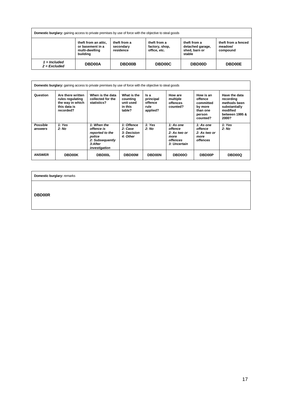| <b>Domestic burglary:</b> gaining access to private premises by use of force with the objective to steal goods |                                                                        |                                        |                                                |                                                             |                                            |
|----------------------------------------------------------------------------------------------------------------|------------------------------------------------------------------------|----------------------------------------|------------------------------------------------|-------------------------------------------------------------|--------------------------------------------|
|                                                                                                                | theft from an attic,<br>or basement in a<br>multi-dwelling<br>building | theft from a<br>secondary<br>residence | theft from a<br>factory, shop,<br>office, etc. | theft from a<br>detached garage,<br>shed, barn or<br>stable | theft from a fenced<br>meadow/<br>compound |
| 1 = Included<br>$2$ = Excluded                                                                                 | <b>DBD00A</b>                                                          | <b>DBD00B</b>                          | <b>DBD00C</b>                                  | <b>DBD00D</b>                                               | <b>DBD00E</b>                              |

|                     | <b>Domestic burglary:</b> gaining access to private premises by use of force with the objective to steal goods |                                                                                                       |                                                           |                                                  |                                                                                 |                                                                                |                                                                                                    |
|---------------------|----------------------------------------------------------------------------------------------------------------|-------------------------------------------------------------------------------------------------------|-----------------------------------------------------------|--------------------------------------------------|---------------------------------------------------------------------------------|--------------------------------------------------------------------------------|----------------------------------------------------------------------------------------------------|
| Question            | Are there written<br>rules regulating<br>the way in which<br>this data is<br>recorded?                         | When is the data<br>collected for the<br>statistics?                                                  | What is the<br>counting<br>unit used<br>in this<br>table? | ls a<br>principal<br>offence<br>rule<br>applied? | How are<br>multiple<br>offences<br>counted?                                     | How is an<br>offence<br>committed<br>by more<br>than one<br>person<br>counted? | Have the data<br>recording<br>methods been<br>substantially<br>modified<br>between 1995 &<br>2000? |
| Possible<br>answers | 1: Yes<br>2: No                                                                                                | 1: When the<br>offence is<br>reported to the<br>police<br>2: Subsequently<br>3:After<br>investigation | 1: Offence<br>2: Case<br>3: Decision<br>4: Other          | 1: Yes<br>2: No                                  | 1: As one<br>offence<br>2: As two or<br>more<br><i>offences</i><br>3: Uncertain | 1: As one<br>offence<br>2: As two or<br>more<br><b>offences</b>                | 1: Yes<br>2: No                                                                                    |
| <b>ANSWER</b>       | <b>DBD00K</b>                                                                                                  | <b>DBD00L</b>                                                                                         | <b>DBD00M</b>                                             | <b>DBD00N</b>                                    | DBD00O                                                                          | <b>DBD00P</b>                                                                  | <b>DBD00Q</b>                                                                                      |

**Domestic burglary:** remarks

**DBD00R**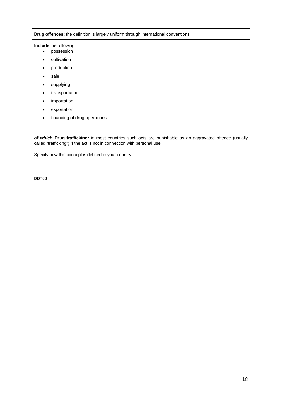**Drug offences:** the definition is largely uniform through international conventions

#### **Include** the following:

- possession
- cultivation
- production
- sale
- supplying
- transportation
- importation
- exportation
- financing of drug operations

*of which* **Drug trafficking:** in most countries such acts are punishable as an aggravated offence (usually called "trafficking") **if** the act is not in connection with personal use.

Specify how this concept is defined in your country:

**DDT00**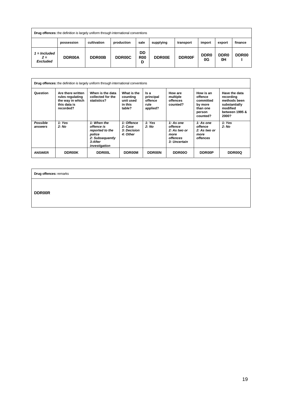| <b>Drug offences:</b> the definition is largely uniform through international conventions |               |               |                     |                       |               |               |                        |                        |                   |
|-------------------------------------------------------------------------------------------|---------------|---------------|---------------------|-----------------------|---------------|---------------|------------------------|------------------------|-------------------|
|                                                                                           | possession    | cultivation   | production          | sale                  | supplying     | transport     | import                 | export                 | finance           |
| = Included<br>$2 =$<br><b>Excluded</b>                                                    | <b>DDR00A</b> | <b>DDR00B</b> | DDR <sub>00</sub> C | DD<br><b>R00</b><br>D | <b>DDR00E</b> | <b>DDR00F</b> | DDR <sub>0</sub><br>0G | DDR <sub>0</sub><br>0H | DDR <sub>00</sub> |

|                     | <b>Drug offences:</b> the definition is largely uniform through international conventions |                                                                                                       |                                                           |                                                  |                                                                                 |                                                                                |                                                                                                    |
|---------------------|-------------------------------------------------------------------------------------------|-------------------------------------------------------------------------------------------------------|-----------------------------------------------------------|--------------------------------------------------|---------------------------------------------------------------------------------|--------------------------------------------------------------------------------|----------------------------------------------------------------------------------------------------|
| Question            | Are there written<br>rules regulating<br>the way in which<br>this data is<br>recorded?    | When is the data<br>collected for the<br>statistics?                                                  | What is the<br>counting<br>unit used<br>in this<br>table? | Is a<br>principal<br>offence<br>rule<br>applied? | How are<br>multiple<br>offences<br>counted?                                     | How is an<br>offence<br>committed<br>by more<br>than one<br>person<br>counted? | Have the data<br>recording<br>methods been<br>substantially<br>modified<br>between 1995 &<br>2000? |
| Possible<br>answers | 1: Yes<br>2: No                                                                           | 1: When the<br>offence is<br>reported to the<br>police<br>2: Subsequently<br>3:After<br>investigation | 1: Offence<br>2: Case<br>3: Decision<br>4: Other          | 1: Yes<br>2: No                                  | 1: As one<br>offence<br>2: As two or<br>more<br><b>offences</b><br>3: Uncertain | 1: As one<br>offence<br>2: As two or<br>more<br><b>offences</b>                | 1: Yes<br>2: No                                                                                    |
| <b>ANSWER</b>       | <b>DDR00K</b>                                                                             | <b>DDR00L</b>                                                                                         | <b>DDR00M</b>                                             | <b>DDR00N</b>                                    | DDR00O                                                                          | <b>DDR00P</b>                                                                  | DDR00Q                                                                                             |

**Drug offences:** remarks

**DDR00R**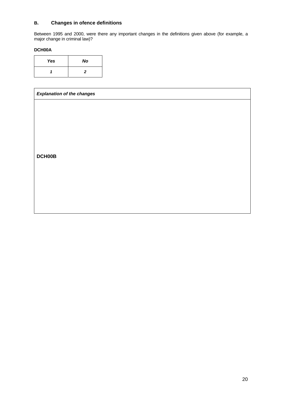#### **B. Changes in ofence definitions**

Between 1995 and 2000, were there any important changes in the definitions given above (for example, a major change in criminal law)?

#### **DCH00A**

| Yes | No |
|-----|----|
|     | 2  |

# *Explanation of the changes*  **DCH00B**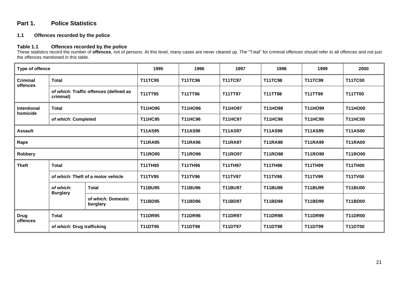### **Part 1. Police Statistics**

#### **1.1 Offences recorded by the police**

#### **Table 1.1 Offences recorded by the police**

These statistics record the number of **offences**, not of persons. At this level, many cases are never cleared up. The "Total" for criminal offences should refer to all offences and not just the offences mentioned in this table.

| Type of offence                |                                                     |                                | 1995           | 1996           | 1997           | 1998           | 1999           | 2000           |
|--------------------------------|-----------------------------------------------------|--------------------------------|----------------|----------------|----------------|----------------|----------------|----------------|
| <b>Criminal</b><br>offences    | <b>Total</b>                                        |                                |                | <b>T11TC96</b> | <b>T11TC97</b> | <b>T11TC98</b> | <b>T11TC99</b> | <b>T11TC00</b> |
|                                | of which: Traffic offences (defined as<br>criminal) |                                | T11TT95        | T11TT96        | T11TT97        | T11TT98        | T11TT99        | <b>T11TT00</b> |
| <b>Intentional</b><br>homicide | <b>Total</b>                                        |                                | T11HO95        | T11HO96        | T11HO97        | T11HO98        | T11HO99        | <b>T11HO00</b> |
|                                | of which: Completed                                 |                                | <b>T11HC95</b> | <b>T11HC96</b> | <b>T11HC97</b> | <b>T11HC98</b> | <b>T11HC99</b> | <b>T11HC00</b> |
| <b>Assault</b>                 |                                                     |                                | <b>T11AS95</b> | <b>T11AS96</b> | <b>T11AS97</b> | <b>T11AS98</b> | <b>T11AS99</b> | <b>T11AS00</b> |
| Rape                           |                                                     |                                | <b>T11RA95</b> | <b>T11RA96</b> | <b>T11RA97</b> | <b>T11RA98</b> | <b>T11RA99</b> | <b>T11RA00</b> |
| Robbery                        |                                                     |                                | T11RO95        | <b>T11RO96</b> | T11RO97        | <b>T11RO98</b> | <b>T11RO99</b> | <b>T11RO00</b> |
| <b>Theft</b>                   | <b>Total</b>                                        |                                | <b>T11TH95</b> | <b>T11TH96</b> | <b>T11TH97</b> | <b>T11TH98</b> | <b>T11TH99</b> | <b>T11TH00</b> |
|                                | of which: Theft of a motor vehicle                  |                                | <b>T11TV95</b> | <b>T11TV96</b> | <b>T11TV97</b> | <b>T11TV98</b> | <b>T11TV99</b> | <b>T11TV00</b> |
|                                | of which:<br><b>Burglary</b>                        | <b>Total</b>                   | T11BU95        | <b>T11BU96</b> | T11BU97        | <b>T11BU98</b> | T11BU99        | <b>T11BU00</b> |
|                                |                                                     | of which: Domestic<br>burglary | <b>T11BD95</b> | <b>T11BD96</b> | T11BD97        | <b>T11BD98</b> | T11BD99        | <b>T11BD00</b> |
| <b>Drug</b><br>offences        | <b>Total</b>                                        |                                | <b>T11DR95</b> | <b>T11DR96</b> | <b>T11DR97</b> | <b>T11DR98</b> | <b>T11DR99</b> | <b>T11DR00</b> |
|                                | of which: Drug trafficking                          |                                | <b>T11DT95</b> | <b>T11DT96</b> | <b>T11DT97</b> | <b>T11DT98</b> | T11DT99        | <b>T11DT00</b> |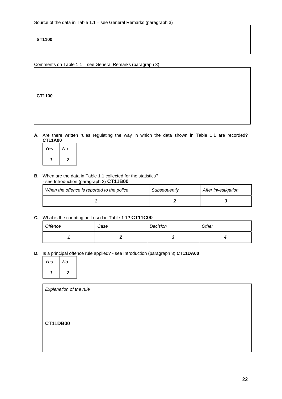## **ST1100**

Comments on Table 1.1 – see General Remarks (paragraph 3)

**CT1100**

**A.** Are there written rules regulating the way in which the data shown in Table 1.1 are recorded? **CT11A00**

| Yes | No |  |
|-----|----|--|
|     | 2  |  |

**B.** When are the data in Table 1.1 collected for the statistics? - see Introduction (paragraph 2) **CT11B00**

| When the offence is reported to the police | Subsequently | After investigation |  |
|--------------------------------------------|--------------|---------------------|--|
|                                            |              |                     |  |

**C.** What is the counting unit used in Table 1.1? **CT11C00**

| Offence | Case | Decision | Other |
|---------|------|----------|-------|
|         |      |          |       |

**D.** Is a principal offence rule applied? - see Introduction (paragraph 3) **CT11DA00**

| Yes | No                      |
|-----|-------------------------|
|     | $\overline{\mathbf{z}}$ |

| Explanation of the rule |  |  |
|-------------------------|--|--|
|                         |  |  |
|                         |  |  |
| <b>CT11DB00</b>         |  |  |
|                         |  |  |
|                         |  |  |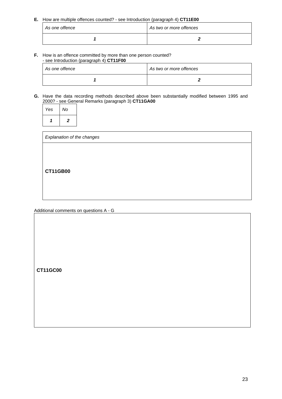**E.** How are multiple offences counted? - see Introduction (paragraph 4) **CT11E00**

| As one offence | As two or more offences |  |  |
|----------------|-------------------------|--|--|
|                |                         |  |  |

**F.** How is an offence committed by more than one person counted? - see Introduction (paragraph 4) **CT11F00**

| As one offence | As two or more offences |  |
|----------------|-------------------------|--|
|                |                         |  |

**G.** Have the data recording methods described above been substantially modified between 1995 and 2000? - see General Remarks (paragraph 3) **CT11GA00**

| Yes | No |
|-----|----|
|     | 2  |

| Explanation of the changes |  |  |
|----------------------------|--|--|
|                            |  |  |
|                            |  |  |
| <b>CT11GB00</b>            |  |  |
|                            |  |  |
|                            |  |  |

Additional comments on questions A - G

**CT11GC00**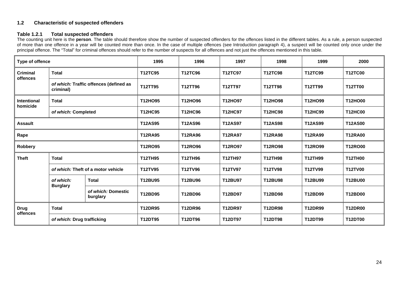#### **1.2 Characteristic of suspected offenders**

#### **Table 1.2.1 Total suspected offenders**

The counting unit here is the **person**. The table should therefore show the number of suspected offenders for the offences listed in the different tables. As a rule, a person suspected of more than one offence in a year will be counted more than once. In the case of multiple offences (see Introduction paragraph 4), a suspect will be counted only once under the principal offence. The "Total" for criminal offences should refer to the number of suspects for all offences and not just the offences mentioned in this table.

| <b>Type of offence</b>      |                                                     |                                | 1995           | 1996           | 1997           | 1998           | 1999           | 2000           |
|-----------------------------|-----------------------------------------------------|--------------------------------|----------------|----------------|----------------|----------------|----------------|----------------|
| <b>Criminal</b><br>offences | <b>Total</b>                                        |                                | <b>T12TC95</b> | <b>T12TC96</b> | <b>T12TC97</b> | <b>T12TC98</b> | <b>T12TC99</b> | <b>T12TC00</b> |
|                             | of which: Traffic offences (defined as<br>criminal) |                                | T12TT95        | T12TT96        | T12TT97        | T12TT98        | T12TT99        | <b>T12TT00</b> |
| Intentional<br>homicide     | <b>Total</b>                                        |                                | T12HO95        | T12HO96        | T12HO97        | T12HO98        | T12HO99        | T12HO00        |
|                             | of which: Completed                                 |                                | <b>T12HC95</b> | <b>T12HC96</b> | <b>T12HC97</b> | <b>T12HC98</b> | <b>T12HC99</b> | <b>T12HC00</b> |
| <b>Assault</b>              |                                                     |                                | <b>T12AS95</b> | <b>T12AS96</b> | <b>T12AS97</b> | <b>T12AS98</b> | <b>T12AS99</b> | <b>T12AS00</b> |
| Rape                        |                                                     |                                | <b>T12RA95</b> | <b>T12RA96</b> | <b>T12RA97</b> | <b>T12RA98</b> | <b>T12RA99</b> | <b>T12RA00</b> |
| Robbery                     |                                                     |                                | T12RO95        | T12RO96        | T12RO97        | <b>T12RO98</b> | T12RO99        | <b>T12RO00</b> |
| <b>Theft</b>                | <b>Total</b>                                        |                                | <b>T12TH95</b> | <b>T12TH96</b> | <b>T12TH97</b> | <b>T12TH98</b> | <b>T12TH99</b> | <b>T12TH00</b> |
|                             | of which: Theft of a motor vehicle                  |                                | <b>T12TV95</b> | <b>T12TV96</b> | T12TV97        | <b>T12TV98</b> | T12TV99        | <b>T12TV00</b> |
|                             | of which:<br><b>Burglary</b>                        | <b>Total</b>                   | <b>T12BU95</b> | <b>T12BU96</b> | T12BU97        | <b>T12BU98</b> | T12BU99        | <b>T12BU00</b> |
|                             |                                                     | of which: Domestic<br>burglary | T12BD95        | T12BD96        | T12BD97        | T12BD98        | T12BD99        | <b>T12BD00</b> |
| <b>Drug</b>                 | <b>Total</b>                                        |                                | <b>T12DR95</b> | <b>T12DR96</b> | <b>T12DR97</b> | <b>T12DR98</b> | <b>T12DR99</b> | <b>T12DR00</b> |
| offences                    | of which: Drug trafficking                          |                                | T12DT95        | T12DT96        | T12DT97        | T12DT98        | T12DT99        | <b>T12DT00</b> |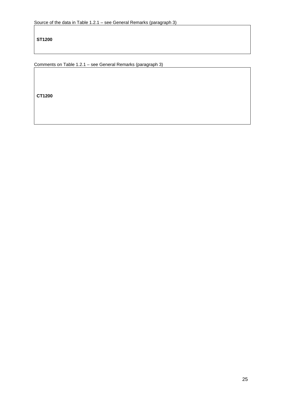**ST1200** 

Comments on Table 1.2.1 – see General Remarks (paragraph 3)

**CT1200**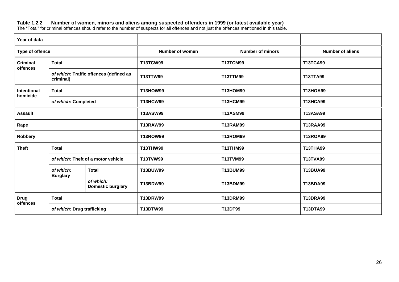#### **Table 1.2.2 Number of women, minors and aliens among suspected offenders in 1999 (or latest available year)**

The "Total" for criminal offences should refer to the number of suspects for all offences and not just the offences mentioned in this table.

| Year of data            |                                                     |                                       |                                    |                         |                         |
|-------------------------|-----------------------------------------------------|---------------------------------------|------------------------------------|-------------------------|-------------------------|
| Type of offence         |                                                     |                                       | <b>Number of women</b>             | <b>Number of minors</b> | <b>Number of aliens</b> |
| <b>Criminal</b>         | <b>Total</b>                                        |                                       | <b>T13TCW99</b>                    | <b>T13TCM99</b>         | <b>T13TCA99</b>         |
| offences                | of which: Traffic offences (defined as<br>criminal) |                                       | T13TTW99                           | T13TTM99                | <b>T13TTA99</b>         |
| Intentional<br>homicide | <b>Total</b>                                        |                                       | <b>T13HOW99</b>                    | <b>T13HOM99</b>         | <b>T13HOA99</b>         |
|                         | of which: Completed                                 |                                       | <b>T13HCW99</b>                    | <b>T13HCM99</b>         | <b>T13HCA99</b>         |
| <b>Assault</b>          |                                                     |                                       | <b>T13ASM99</b><br><b>T13ASW99</b> |                         | <b>T13ASA99</b>         |
| Rape                    |                                                     |                                       | <b>T13RAW99</b>                    | <b>T13RAM99</b>         | <b>T13RAA99</b>         |
| Robbery                 |                                                     |                                       | <b>T13ROW99</b>                    | <b>T13ROM99</b>         | <b>T13ROA99</b>         |
| <b>Theft</b>            | <b>Total</b>                                        |                                       | <b>T13THW99</b>                    | <b>T13THM99</b>         | <b>T13THA99</b>         |
|                         | of which: Theft of a motor vehicle                  |                                       | <b>T13TVW99</b>                    | <b>T13TVM99</b>         | <b>T13TVA99</b>         |
|                         | of which:<br><b>Burglary</b>                        | <b>Total</b>                          | <b>T13BUW99</b>                    | T13BUM99                | <b>T13BUA99</b>         |
|                         |                                                     | of which:<br><b>Domestic burglary</b> | <b>T13BDW99</b>                    | T13BDM99                | <b>T13BDA99</b>         |
| <b>Drug</b>             | <b>Total</b>                                        |                                       | <b>T13DRW99</b>                    | <b>T13DRM99</b>         | <b>T13DRA99</b>         |
| offences                | of which: Drug trafficking                          |                                       | <b>T13DTW99</b>                    | T13DT99                 | <b>T13DTA99</b>         |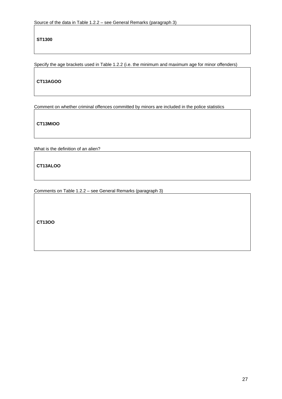**ST1300** 

Specify the age brackets used in Table 1.2.2 (i.e. the minimum and maximum age for minor offenders)

**CT13AGOO** 

Comment on whether criminal offences committed by minors are included in the police statistics

**CT13MIOO** 

What is the definition of an alien?

**CT13ALOO**

Comments on Table 1.2.2 – see General Remarks (paragraph 3)

**CT13OO**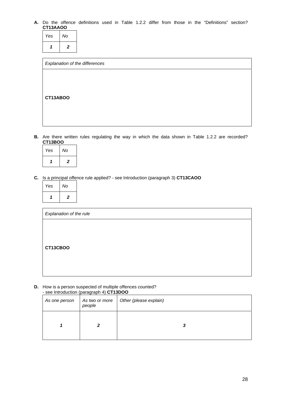#### **A.** Do the offence definitions used in Table 1.2.2 differ from those in the "Definitions" section? **CT13AAOO**

| Yes | No |
|-----|----|
| 7   | 2  |

| Explanation of the differences |  |
|--------------------------------|--|
|                                |  |
|                                |  |
| CT13ABOO                       |  |
|                                |  |
|                                |  |
|                                |  |

**B.** Are there written rules regulating the way in which the data shown in Table 1.2.2 are recorded? **CT13BOO**

| Yes | No             |
|-----|----------------|
|     | $\overline{2}$ |

**C.** Is a principal offence rule applied? - see Introduction (paragraph 3) **CT13CAOO**

| Yes | No |
|-----|----|
|     | 2  |

| Explanation of the rule |  |  |
|-------------------------|--|--|
|                         |  |  |
|                         |  |  |
| CT13CBOO                |  |  |
|                         |  |  |
|                         |  |  |

**D.** How is a person suspected of multiple offences counted? - see Introduction (paragraph 4) **CT13DOO**

| As one person | people | As two or more   Other (please explain) |
|---------------|--------|-----------------------------------------|
|               | 2      | 3                                       |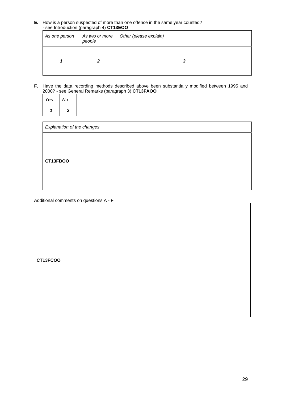**E.** How is a person suspected of more than one offence in the same year counted? - see Introduction (paragraph 4) **CT13EOO**

| As one person | As two or more<br>people | Other (please explain) |
|---------------|--------------------------|------------------------|
|               |                          | З                      |

**F.** Have the data recording methods described above been substantially modified between 1995 and 2000? - see General Remarks (paragraph 3) **CT13FAOO**

| Yes | No                      |
|-----|-------------------------|
|     | $\overline{\mathbf{z}}$ |

| Explanation of the changes |  |
|----------------------------|--|
|                            |  |
|                            |  |
| CT13FBOO                   |  |
|                            |  |
|                            |  |

Additional comments on questions A - F

**CT13FCOO**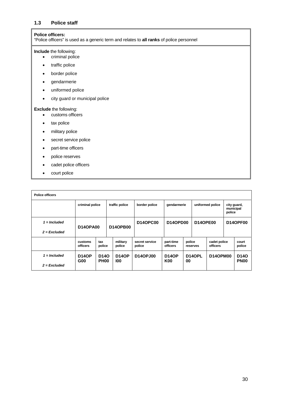#### **1.3 Police staff**

#### **Police officers:**

"Police officers" is used as a generic term and relates to **all ranks** of police personnel

#### **Include** the following:

- criminal police
- traffic police
- border police
- gendarmerie
- uniformed police
- city guard or municipal police

#### **Exclude** the following:

- customs officers
- tax police
- military police
- secret service police
- part-time officers
- police reserves
- cadet police officers
- court police

| <b>Police officers</b>           |                                   |                                  |               |                     |                          |                                    |                  |                     |                                    |                                 |                                  |  |                 |
|----------------------------------|-----------------------------------|----------------------------------|---------------|---------------------|--------------------------|------------------------------------|------------------|---------------------|------------------------------------|---------------------------------|----------------------------------|--|-----------------|
|                                  | traffic police<br>criminal police |                                  | border police |                     | gendarmerie              |                                    | uniformed police |                     | city guard,<br>municipal<br>police |                                 |                                  |  |                 |
| $1 =$ Included<br>$2$ = Excluded | <b>D14OPA00</b>                   |                                  |               | <b>D14OPB00</b>     | <b>D14OPC00</b>          | <b>D14OPD00</b><br><b>D14OPE00</b> |                  |                     | <b>D14OPF00</b>                    |                                 |                                  |  |                 |
|                                  | customs<br>officers               | tax<br>police                    |               | military<br>police  | secret service<br>police | part-time<br><b>officers</b>       |                  | police<br>reserves  |                                    | cadet police<br><b>officers</b> |                                  |  | court<br>police |
| $1 =$ Included<br>$2$ = Excluded | <b>D14OP</b><br>G <sub>00</sub>   | D <sub>14</sub> O<br><b>PH00</b> |               | <b>D14OP</b><br>100 | <b>D14OPJ00</b>          | <b>D14OP</b><br><b>K00</b>         | 00               | D <sub>14</sub> OPL | <b>D14OPM00</b>                    |                                 | D <sub>14</sub> O<br><b>PN00</b> |  |                 |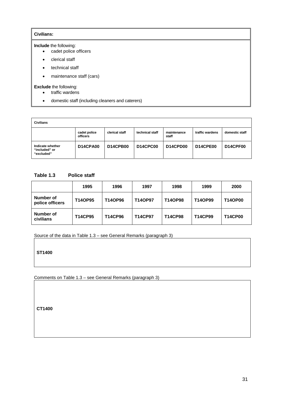#### **Civilians:**

**Include** the following:

- cadet police officers
- clerical staff
- technical staff
- maintenance staff (cars)

**Exclude** the following:

- traffic wardens
- domestic staff (including cleaners and caterers)

| <b>Civilians</b>                                |                          |                 |                 |                      |                 |                 |
|-------------------------------------------------|--------------------------|-----------------|-----------------|----------------------|-----------------|-----------------|
|                                                 | cadet police<br>officers | clerical staff  | technical staff | maintenance<br>staff | traffic wardens | domestic staff  |
| Indicate whether<br>"included" or<br>"excluded" | <b>D14CPA00</b>          | <b>D14CPB00</b> | <b>D14CPC00</b> | D14CPD00             | <b>D14CPE00</b> | <b>D14CPF00</b> |

## **Table 1.3 Police staff**

|                              | 1995           | 1996           | 1997           | 1998           | 1999           | 2000           |
|------------------------------|----------------|----------------|----------------|----------------|----------------|----------------|
| Number of<br>police officers | <b>T14OP95</b> | <b>T14OP96</b> | <b>T14OP97</b> | <b>T14OP98</b> | T14OP99        | <b>T14OP00</b> |
| Number of<br>civilians       | <b>T14CP95</b> | <b>T14CP96</b> | <b>T14CP97</b> | <b>T14CP98</b> | <b>T14CP99</b> | <b>T14CP00</b> |

Source of the data in Table 1.3 – see General Remarks (paragraph 3)

**ST1400** 

Comments on Table 1.3 – see General Remarks (paragraph 3)

**CT1400**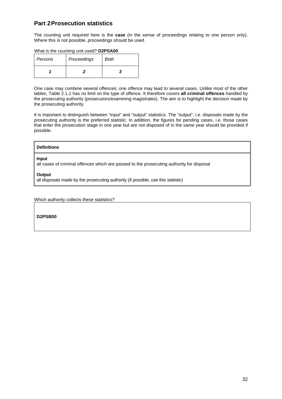# **Part 2 Prosecution statistics**

The counting unit required here is the **case** (in the sense of proceedings relating to one person only). Where this is not possible, proceedings should be used.

|  | What is the counting unit used? D2PSA00 |
|--|-----------------------------------------|
|--|-----------------------------------------|

| Persons | Proceedings | Both |
|---------|-------------|------|
|         |             |      |

One case may combine several offences; one offence may lead to several cases. Unlike most of the other tables, Table 2.1.1 has no limit on the type of offence. It therefore covers **all criminal offences** handled by the prosecuting authority (prosecutors/examining magistrates). The aim is to highlight the decision made by the prosecuting authority.

It is important to distinguish between "input" and "output" statistics. The "output", i.e. disposals made by the prosecuting authority is the preferred statistic. In addition, the figures for pending cases, i.e. those cases that enter the prosecution stage in one year but are not disposed of in the same year should be provided if possible.

#### **Definitions**

#### **Input**

all cases of criminal offences which are passed to the prosecuting authority for disposal

**Output**

all disposals made by the prosecuting authority (if possible, use this statistic)

Which authority collects these statistics?

**D2PSB00**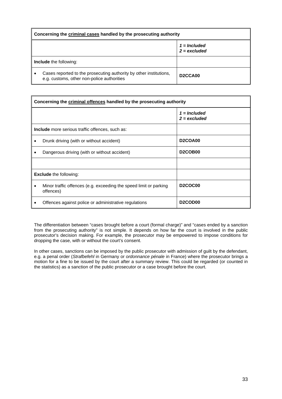| Concerning the criminal cases handled by the prosecuting authority                                               |                                  |
|------------------------------------------------------------------------------------------------------------------|----------------------------------|
|                                                                                                                  | $1 = Included$<br>$2 =$ excluded |
| <b>Include</b> the following:                                                                                    |                                  |
| Cases reported to the prosecuting authority by other institutions,<br>e.g. customs, other non-police authorities | D <sub>2</sub> CCA <sub>00</sub> |

|                                              | Concerning the criminal offences handled by the prosecuting authority          |                                  |  |
|----------------------------------------------|--------------------------------------------------------------------------------|----------------------------------|--|
|                                              |                                                                                | $1 =$ Included<br>$2 = excluded$ |  |
|                                              | <b>Include</b> more serious traffic offences, such as:                         |                                  |  |
|                                              | Drunk driving (with or without accident)                                       | D <sub>2</sub> COA <sub>00</sub> |  |
| Dangerous driving (with or without accident) |                                                                                | D <sub>2</sub> COB <sub>00</sub> |  |
|                                              |                                                                                |                                  |  |
|                                              | <b>Exclude</b> the following:                                                  |                                  |  |
|                                              | Minor traffic offences (e.g. exceeding the speed limit or parking<br>offences) | <b>D2COC00</b>                   |  |
|                                              | Offences against police or administrative regulations                          | D <sub>2</sub> COD <sub>00</sub> |  |

The differentiation between "cases brought before a court (formal charge)" and "cases ended by a sanction from the prosecuting authority" is not simple. It depends on how far the court is involved in the public prosecutor's decision making. For example, the prosecutor may be empowered to impose conditions for dropping the case, with or without the court's consent.

In other cases, sanctions can be imposed by the public prosecutor with admission of guilt by the defendant, e.g. a penal order (*Strafbefehl* in Germany or *ordonnance pénale* in France) where the prosecutor brings a motion for a fine to be issued by the court after a summary review. This could be regarded (or counted in the statistics) as a sanction of the public prosecutor or a case brought before the court.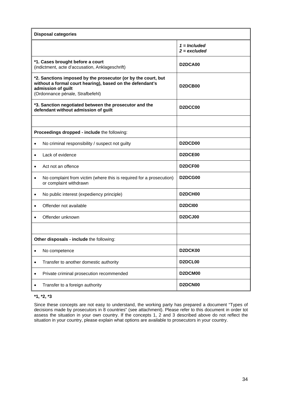|           | <b>Disposal categories</b>                                                                                                                                                           |                                               |  |  |
|-----------|--------------------------------------------------------------------------------------------------------------------------------------------------------------------------------------|-----------------------------------------------|--|--|
|           |                                                                                                                                                                                      | $1 =$ Included<br>$2 = excluded$              |  |  |
|           | *1. Cases brought before a court<br>(indictment, acte d'accusation, Anklageschrift)                                                                                                  | D <sub>2</sub> DC <sub>A00</sub>              |  |  |
|           | *2. Sanctions imposed by the prosecutor (or by the court, but<br>without a formal court hearing), based on the defendant's<br>admission of guilt<br>(Ordonnance pénale, Strafbefehl) | D <sub>2</sub> DCB <sub>00</sub>              |  |  |
|           | *3. Sanction negotiated between the prosecutor and the<br>defendant without admission of guilt                                                                                       | D <sub>2</sub> DCC <sub>00</sub>              |  |  |
|           |                                                                                                                                                                                      |                                               |  |  |
|           | Proceedings dropped - include the following:                                                                                                                                         |                                               |  |  |
| ٠         | No criminal responsibility / suspect not guilty                                                                                                                                      | D <sub>2</sub> D <sub>C</sub> D <sub>00</sub> |  |  |
| $\bullet$ | Lack of evidence                                                                                                                                                                     | D <sub>2</sub> DCE <sub>00</sub>              |  |  |
| $\bullet$ | Act not an offence                                                                                                                                                                   | D <sub>2</sub> DCF <sub>00</sub>              |  |  |
| ٠         | No complaint from victim (where this is required for a prosecution)<br>or complaint withdrawn                                                                                        | D <sub>2</sub> DCG <sub>00</sub>              |  |  |
| ٠         | No public interest (expediency principle)                                                                                                                                            | D <sub>2</sub> DCH <sub>00</sub>              |  |  |
| ٠         | Offender not available                                                                                                                                                               | <b>D2DCI00</b>                                |  |  |
|           | Offender unknown                                                                                                                                                                     | D <sub>2</sub> D <sub>CJ00</sub>              |  |  |
|           |                                                                                                                                                                                      |                                               |  |  |
|           | Other disposals - include the following:                                                                                                                                             |                                               |  |  |
| $\bullet$ | No competence                                                                                                                                                                        | D2DCK00                                       |  |  |
| ٠         | Transfer to another domestic authority                                                                                                                                               | D2DCL00                                       |  |  |
|           | Private criminal prosecution recommended                                                                                                                                             | D2DCM00                                       |  |  |
|           | Transfer to a foreign authority                                                                                                                                                      | D2DCN00                                       |  |  |

#### **\*1, \*2, \*3**

Since these concepts are not easy to understand, the working party has prepared a document "Types of decisions made by prosecutors in 8 countries" (see attachment). Please refer to this document in order tot assess the situation in your own country. If the concepts 1, 2 and 3 described above do not reflect the situation in your country, please explain what options are available to prosecutors in your country.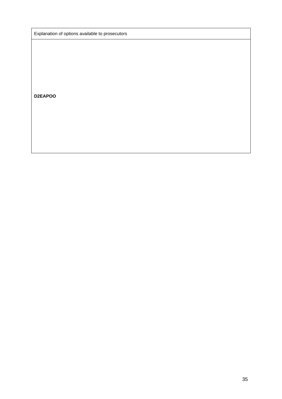Explanation of options available to prosecutors

**D2EAPOO**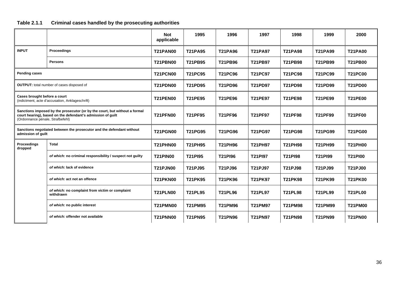# **Table 2.1.1 Criminal cases handled by the prosecuting authorities**

|                                  |                                                                                                                                           | <b>Not</b><br>applicable | 1995           | 1996           | 1997           | 1998           | 1999           | 2000           |
|----------------------------------|-------------------------------------------------------------------------------------------------------------------------------------------|--------------------------|----------------|----------------|----------------|----------------|----------------|----------------|
| <b>INPUT</b>                     | Proceedings                                                                                                                               | <b>T21PAN00</b>          | <b>T21PA95</b> | <b>T21PA96</b> | <b>T21PA97</b> | <b>T21PA98</b> | <b>T21PA99</b> | <b>T21PA00</b> |
|                                  | <b>Persons</b>                                                                                                                            | <b>T21PBN00</b>          | T21PB95        | <b>T21PB96</b> | <b>T21PB97</b> | <b>T21PB98</b> | T21PB99        | <b>T21PB00</b> |
| <b>Pending cases</b>             |                                                                                                                                           | <b>T21PCN00</b>          | <b>T21PC95</b> | <b>T21PC96</b> | <b>T21PC97</b> | <b>T21PC98</b> | <b>T21PC99</b> | <b>T21PC00</b> |
|                                  | <b>OUTPUT:</b> total number of cases disposed of                                                                                          | <b>T21PDN00</b>          | <b>T21PD95</b> | <b>T21PD96</b> | <b>T21PD97</b> | <b>T21PD98</b> | <b>T21PD99</b> | <b>T21PD00</b> |
| Cases brought before a court     | (indictment, acte d'accusation, Anklageschrift)                                                                                           | <b>T21PEN00</b>          | <b>T21PE95</b> | <b>T21PE96</b> | <b>T21PE97</b> | <b>T21PE98</b> | <b>T21PE99</b> | <b>T21PE00</b> |
| (Ordonnance pénale, Strafbefehl) | Sanctions imposed by the prosecutor (or by the court, but without a formal<br>court hearing), based on the defendant's admission of guilt | <b>T21PFN00</b>          | <b>T21PF95</b> | <b>T21PF96</b> | <b>T21PF97</b> | <b>T21PF98</b> | T21PF99        | <b>T21PF00</b> |
| admission of guilt               | Sanctions negotiated between the prosecutor and the defendant without                                                                     | <b>T21PGN00</b>          | <b>T21PG95</b> | <b>T21PG96</b> | <b>T21PG97</b> | <b>T21PG98</b> | <b>T21PG99</b> | <b>T21PG00</b> |
| Proceedings<br>dropped           | <b>Total</b>                                                                                                                              | <b>T21PHN00</b>          | <b>T21PH95</b> | <b>T21PH96</b> | <b>T21PH97</b> | <b>T21PH98</b> | <b>T21PH99</b> | <b>T21PH00</b> |
|                                  | of which: no criminal responsibility / suspect not guilty                                                                                 | <b>T21PIN00</b>          | <b>T21PI95</b> | T21PI96        | <b>T21PI97</b> | <b>T21PI98</b> | <b>T21PI99</b> | <b>T21PI00</b> |
|                                  | of which: lack of evidence                                                                                                                | <b>T21PJN00</b>          | T21PJ95        | T21PJ96        | T21PJ97        | T21PJ98        | T21PJ99        | <b>T21PJ00</b> |
|                                  | of which: act not an offence                                                                                                              | T21PKN00                 | <b>T21PK95</b> | <b>T21PK96</b> | T21PK97        | <b>T21PK98</b> | <b>T21PK99</b> | <b>T21PK00</b> |
|                                  | of which: no complaint from victim or complaint<br>withdrawn                                                                              | <b>T21PLN00</b>          | <b>T21PL95</b> | <b>T21PL96</b> | <b>T21PL97</b> | <b>T21PL98</b> | <b>T21PL99</b> | <b>T21PL00</b> |
|                                  | of which: no public interest                                                                                                              | <b>T21PMN00</b>          | <b>T21PM95</b> | T21PM96        | <b>T21PM97</b> | <b>T21PM98</b> | <b>T21PM99</b> | <b>T21PM00</b> |
|                                  | of which: offender not available                                                                                                          | <b>T21PNN00</b>          | <b>T21PN95</b> | <b>T21PN96</b> | <b>T21PN97</b> | <b>T21PN98</b> | <b>T21PN99</b> | <b>T21PN00</b> |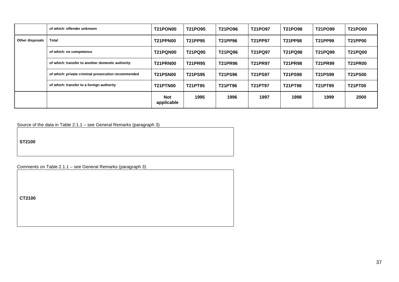|                 | of which: offender unknown                         | <b>T21PON00</b>          | T21PO95        | T21PO96        | T21PO97        | T21PO98        | T21PO99        | <b>T21PO00</b> |
|-----------------|----------------------------------------------------|--------------------------|----------------|----------------|----------------|----------------|----------------|----------------|
| Other disposals | Total                                              | <b>T21PPN00</b>          | T21PP95        | <b>T21PP96</b> | T21PP97        | <b>T21PP98</b> | T21PP99        | <b>T21PP00</b> |
|                 | of which: no competence                            | <b>T21PQN00</b>          | <b>T21PQ95</b> | T21PQ96        | T21PQ97        | <b>T21PQ98</b> | T21PQ99        | <b>T21PQ00</b> |
|                 | of which: transfer to another domestic authority   | <b>T21PRN00</b>          | <b>T21PR95</b> | <b>T21PR96</b> | <b>T21PR97</b> | <b>T21PR98</b> | <b>T21PR99</b> | <b>T21PR00</b> |
|                 | of which: private criminal prosecution recommended | <b>T21PSN00</b>          | <b>T21PS95</b> | <b>T21PS96</b> | <b>T21PS97</b> | <b>T21PS98</b> | <b>T21PS99</b> | <b>T21PS00</b> |
|                 | of which: transfer to a foreign authority          | <b>T21PTN00</b>          | T21PT95        | T21PT96        | T21PT97        | <b>T21PT98</b> | T21PT99        | <b>T21PT00</b> |
|                 |                                                    | <b>Not</b><br>applicable | 1995           | 1996           | 1997           | 1998           | 1999           | 2000           |

Source of the data in Table 2.1.1 – see General Remarks (paragraph 3)

**ST2100**

Comments on Table 2.1.1 – see General Remarks (paragraph 3)

**CT2100**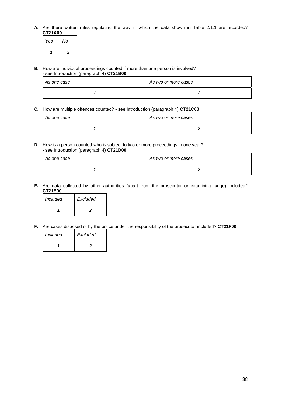**A.** Are there written rules regulating the way in which the data shown in Table 2.1.1 are recorded? **CT21A00**

| Yes | No |
|-----|----|
|     | 2  |

**B.** How are individual proceedings counted if more than one person is involved? - see Introduction (paragraph 4) **CT21B00**

| As one case | As two or more cases |
|-------------|----------------------|
|             |                      |

**C.** How are multiple offences counted? - see Introduction (paragraph 4) **CT21C00**

| As one case | As two or more cases |
|-------------|----------------------|
|             |                      |

**D.** How is a person counted who is subject to two or more proceedings in one year? - see Introduction (paragraph 4) **CT21D00**

| As one case | As two or more cases |
|-------------|----------------------|
|             |                      |

**E.** Are data collected by other authorities (apart from the prosecutor or examining judge) included? **CT21E00**

| <i>Included</i> | Excluded |
|-----------------|----------|
|                 | .,       |

**F.** Are cases disposed of by the police under the responsibility of the prosecutor included? **CT21F00**

| Included | Excluded |
|----------|----------|
|          | כי       |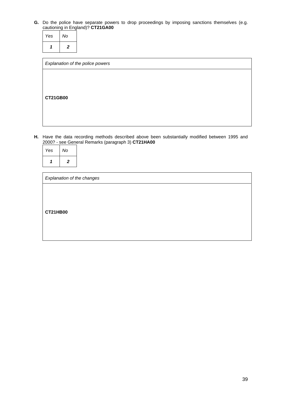**G.** Do the police have separate powers to drop proceedings by imposing sanctions themselves (e.g. cautioning in England)? **CT21GA00**

| Yes | No             |  |
|-----|----------------|--|
|     | $\overline{2}$ |  |

| Explanation of the police powers |  |  |
|----------------------------------|--|--|
|                                  |  |  |
|                                  |  |  |
| <b>CT21GB00</b>                  |  |  |
|                                  |  |  |
|                                  |  |  |

**H.** Have the data recording methods described above been substantially modified between 1995 and 2000? - see General Remarks (paragraph 3) **CT21HA00**

| Explanation of the changes |  |  |  |  |  |
|----------------------------|--|--|--|--|--|
|                            |  |  |  |  |  |
|                            |  |  |  |  |  |
| <b>CT21HB00</b>            |  |  |  |  |  |
|                            |  |  |  |  |  |
|                            |  |  |  |  |  |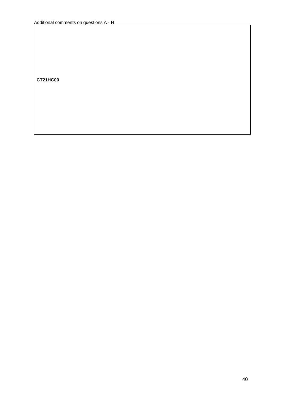**CT21HC00**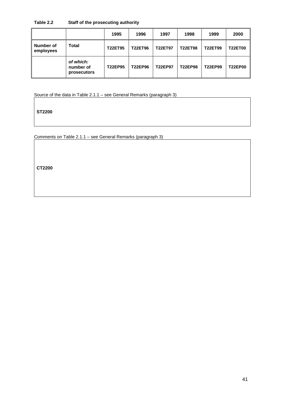#### **Table 2.2 Staff of the prosecuting authority**

|                        |                                       | 1995           | 1996           | 1997           | 1998           | 1999           | 2000           |
|------------------------|---------------------------------------|----------------|----------------|----------------|----------------|----------------|----------------|
| Number of<br>employees | Total                                 | <b>T22ET95</b> | <b>T22ET96</b> | <b>T22ET97</b> | <b>T22ET98</b> | <b>T22ET99</b> | <b>T22ET00</b> |
|                        | of which:<br>number of<br>prosecutors | <b>T22EP95</b> | <b>T22EP96</b> | <b>T22EP97</b> | <b>T22EP98</b> | T22EP99        | <b>T22EP00</b> |

Source of the data in Table 2.1.1 – see General Remarks (paragraph 3)

**ST2200**

Comments on Table 2.1.1 – see General Remarks (paragraph 3)

**CT2200**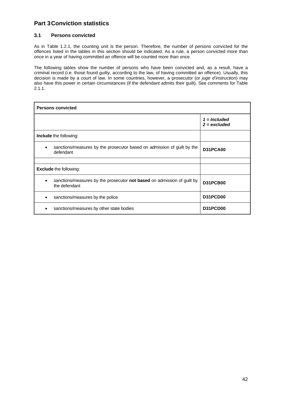# **Part 3 Conviction statistics**

#### **3.1 Persons convicted**

As in Table 1.2.1, the counting unit is the person. Therefore, the number of persons convicted for the offences listed in the tables in this section should be indicated. As a rule, a person convicted more than once in a year of having committed an offence will be counted more than once.

The following tables show the number of persons who have been convicted and, as a result, have a criminal record (i.e. those found guilty, according to the law, of having committed an offence). Usually, this decision is made by a court of law. In some countries, however, a prosecutor (or *juge d'instruction*) may also have this power in certain circumstances (if the defendant admits their guilt). See comments for Table 2.1.1.

| <b>Persons convicted</b>                                                                        |                                  |  |  |  |
|-------------------------------------------------------------------------------------------------|----------------------------------|--|--|--|
|                                                                                                 | $1 =$ Included<br>$2 = excluded$ |  |  |  |
| <b>Include</b> the following:                                                                   |                                  |  |  |  |
| sanctions/measures by the prosecutor based on admission of guilt by the<br>defendant            | D31PCA00                         |  |  |  |
|                                                                                                 |                                  |  |  |  |
| <b>Exclude the following:</b>                                                                   |                                  |  |  |  |
| sanctions/measures by the prosecutor <b>not based</b> on admission of guilt by<br>the defendant | <b>D31PCB00</b>                  |  |  |  |
| sanctions/measures by the police                                                                | D31PCD00                         |  |  |  |
| sanctions/measures by other state bodies                                                        | D31PCD00                         |  |  |  |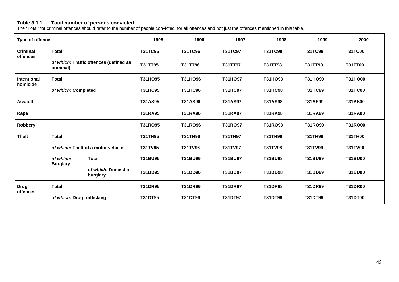#### **Table 3.1.1 Total number of persons convicted**

The "Total" for criminal offences should refer to the number of people convicted for all offences and not just the offences mentioned in this table.

| Type of offence                |                              | 1995                                   | 1996           | 1997           | 1998           | 1999           | 2000           |                |
|--------------------------------|------------------------------|----------------------------------------|----------------|----------------|----------------|----------------|----------------|----------------|
| <b>Criminal</b><br>offences    | <b>Total</b>                 |                                        | <b>T31TC95</b> | T31TC96        | <b>T31TC97</b> | <b>T31TC98</b> | <b>T31TC99</b> | <b>T31TC00</b> |
|                                | criminal)                    | of which: Traffic offences (defined as | T31TT95        | T31TT96        | T31TT97        | T31TT98        | T31TT99        | <b>T31TT00</b> |
| <b>Intentional</b><br>homicide | <b>Total</b>                 |                                        | T31HO95        | T31HO96        | T31HO97        | T31HO98        | T31HO99        | <b>T31HO00</b> |
|                                | of which: Completed          |                                        | <b>T31HC95</b> | <b>T31HC96</b> | <b>T31HC97</b> | <b>T31HC98</b> | <b>T31HC99</b> | <b>T31HC00</b> |
| <b>Assault</b>                 |                              | <b>T31AS95</b>                         | <b>T31AS96</b> | <b>T31AS97</b> | <b>T31AS98</b> | <b>T31AS99</b> | <b>T31AS00</b> |                |
| Rape                           |                              | <b>T31RA95</b>                         | <b>T31RA96</b> | <b>T31RA97</b> | <b>T31RA98</b> | <b>T31RA99</b> | <b>T31RA00</b> |                |
| Robbery                        |                              |                                        | <b>T31RO95</b> | T31RO96        | T31RO97        | <b>T31RO98</b> | T31RO99        | <b>T31RO00</b> |
| <b>Theft</b>                   | <b>Total</b>                 |                                        | <b>T31TH95</b> | T31TH96        | <b>T31TH97</b> | <b>T31TH98</b> | <b>T31TH99</b> | <b>T31TH00</b> |
|                                |                              | of which: Theft of a motor vehicle     | <b>T31TV95</b> | <b>T31TV96</b> | T31TV97        | <b>T31TV98</b> | <b>T31TV99</b> | <b>T31TV00</b> |
|                                | of which:<br><b>Burglary</b> | <b>Total</b>                           | <b>T31BU95</b> | <b>T31BU96</b> | <b>T31BU97</b> | <b>T31BU98</b> | T31BU99        | <b>T31BU00</b> |
|                                |                              | of which: Domestic<br>burglary         | <b>T31BD95</b> | <b>T31BD96</b> | <b>T31BD97</b> | T31BD98        | T31BD99        | <b>T31BD00</b> |
| <b>Drug</b><br><b>Total</b>    |                              | <b>T31DR95</b>                         | <b>T31DR96</b> | <b>T31DR97</b> | <b>T31DR98</b> | <b>T31DR99</b> | <b>T31DR00</b> |                |
| offences                       | of which: Drug trafficking   |                                        | <b>T31DT95</b> | <b>T31DT96</b> | <b>T31DT97</b> | <b>T31DT98</b> | <b>T31DT99</b> | <b>T31DT00</b> |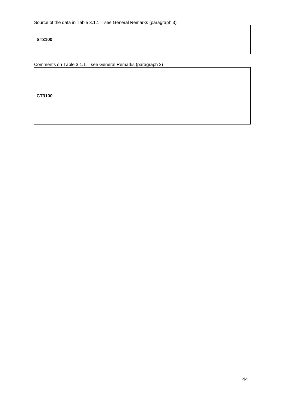**ST3100**

Comments on Table 3.1.1 – see General Remarks (paragraph 3)

**CT3100**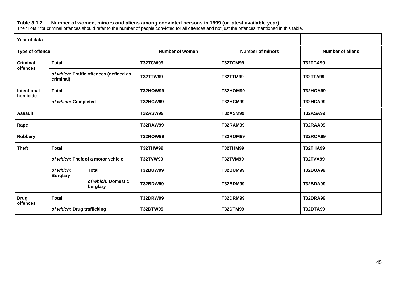#### **Table 3.1.2 Number of women, minors and aliens among convicted persons in 1999 (or latest available year)**

The "Total" for criminal offences should refer to the number of people convicted for all offences and not just the offences mentioned in this table.

| Year of data                   |                              |                                        |                         |                         |                 |
|--------------------------------|------------------------------|----------------------------------------|-------------------------|-------------------------|-----------------|
| Type of offence                |                              | <b>Number of women</b>                 | <b>Number of minors</b> | <b>Number of aliens</b> |                 |
| <b>Criminal</b><br>offences    | <b>Total</b>                 |                                        | <b>T32TCW99</b>         | <b>T32TCM99</b>         | <b>T32TCA99</b> |
|                                | criminal)                    | of which: Traffic offences (defined as | <b>T32TTW99</b>         | <b>T32TTM99</b>         | <b>T32TTA99</b> |
| <b>Intentional</b><br>homicide | <b>Total</b>                 |                                        | <b>T32HOW99</b>         | <b>T32HOM99</b>         | <b>T32HOA99</b> |
|                                | of which: Completed          |                                        | <b>T32HCW99</b>         | <b>T32HCM99</b>         | <b>T32HCA99</b> |
| <b>Assault</b>                 |                              | <b>T32ASW99</b>                        | <b>T32ASM99</b>         | <b>T32ASA99</b>         |                 |
| Rape                           |                              | <b>T32RAW99</b>                        | <b>T32RAM99</b>         | <b>T32RAA99</b>         |                 |
| <b>Robbery</b>                 |                              |                                        | <b>T32ROW99</b>         | <b>T32ROM99</b>         | <b>T32ROA99</b> |
| <b>Theft</b>                   | <b>Total</b>                 |                                        | <b>T32THW99</b>         | <b>T32THM99</b>         | <b>T32THA99</b> |
|                                |                              | of which: Theft of a motor vehicle     | <b>T32TVW99</b>         | <b>T32TVM99</b>         | <b>T32TVA99</b> |
|                                | of which:<br><b>Burglary</b> | <b>Total</b>                           | <b>T32BUW99</b>         | <b>T32BUM99</b>         | <b>T32BUA99</b> |
|                                |                              | of which: Domestic<br>burglary         | <b>T32BDW99</b>         | T32BDM99                | <b>T32BDA99</b> |
| <b>Drug</b><br>offences        | <b>Total</b>                 |                                        | <b>T32DRW99</b>         | <b>T32DRM99</b>         | <b>T32DRA99</b> |
|                                | of which: Drug trafficking   |                                        | <b>T32DTW99</b>         | <b>T32DTM99</b>         | <b>T32DTA99</b> |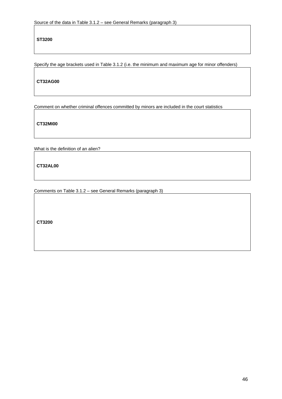**ST3200**

Specify the age brackets used in Table 3.1.2 (i.e. the minimum and maximum age for minor offenders)

**CT32AG00**

Comment on whether criminal offences committed by minors are included in the court statistics

**CT32MI00**

What is the definition of an alien?

**CT32AL00**

Comments on Table 3.1.2 – see General Remarks (paragraph 3)

**CT3200**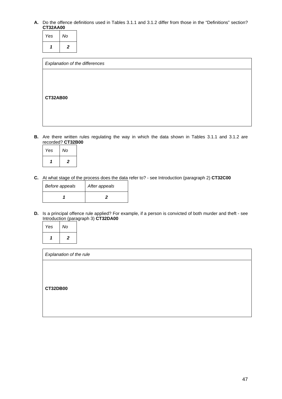#### **A.** Do the offence definitions used in Tables 3.1.1 and 3.1.2 differ from those in the "Definitions" section? **CT32AA00**

| Yes | No |
|-----|----|
|     | 2  |

| Explanation of the differences |  |
|--------------------------------|--|
|                                |  |
|                                |  |
|                                |  |
| <b>CT32AB00</b>                |  |
|                                |  |
|                                |  |
|                                |  |
|                                |  |

**B.** Are there written rules regulating the way in which the data shown in Tables 3.1.1 and 3.1.2 are recorded? **CT32B00**

| Yes | No               |
|-----|------------------|
|     | $\boldsymbol{2}$ |

**C.** At what stage of the process does the data refer to? - see Introduction (paragraph 2) **CT32C00**

| Before appeals | After appeals |
|----------------|---------------|
|                |               |

**D.** Is a principal offence rule applied? For example, if a person is convicted of both murder and theft - see Introduction (paragraph 3) **CT32DA00**

| Yes | No             |
|-----|----------------|
|     | $\overline{2}$ |

| Explanation of the rule |  |  |
|-------------------------|--|--|
|                         |  |  |
|                         |  |  |
| <b>CT32DB00</b>         |  |  |
|                         |  |  |
|                         |  |  |
|                         |  |  |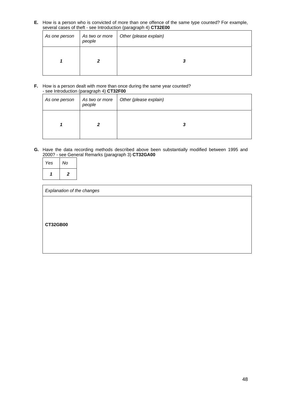**E.** How is a person who is convicted of more than one offence of the same type counted? For example, several cases of theft - see Introduction (paragraph 4) **CT32E00**

| As one person | As two or more<br>people | Other (please explain) |
|---------------|--------------------------|------------------------|
|               |                          | 3                      |

#### **F.** How is a person dealt with more than once during the same year counted? - see Introduction (paragraph 4) **CT32F00**

| As one person | As two or more<br>people | Other (please explain) |
|---------------|--------------------------|------------------------|
|               |                          | v                      |

**G.** Have the data recording methods described above been substantially modified between 1995 and 2000? - see General Remarks (paragraph 3) **CT32GA00**

| Yes | No             |
|-----|----------------|
|     | $\overline{2}$ |

| Explanation of the changes |  |  |
|----------------------------|--|--|
|                            |  |  |
|                            |  |  |
| <b>CT32GB00</b>            |  |  |
|                            |  |  |
|                            |  |  |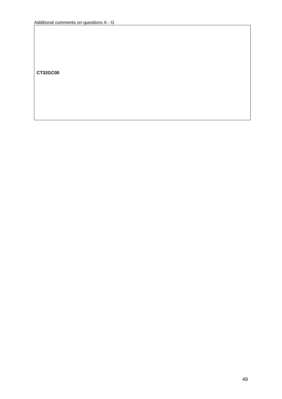**CT32GC00**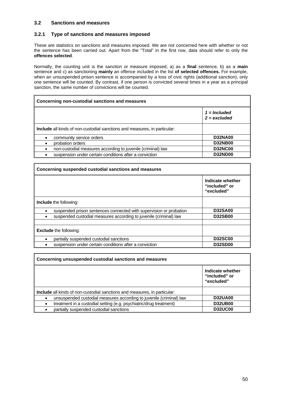#### **3.2 Sanctions and measures**

#### **3.2.1 Type of sanctions and measures imposed**

These are statistics on sanctions and measures imposed. We are not concerned here with whether or not the sentence has been carried out. Apart from the "Total" in the first row, data should refer to only the **offences selected**.

Normally, the counting unit is the sanction or measure imposed, a) as a **final** sentence, b) as a **main** sentence and c) as sanctioning **mainly** an offence included in the list **of selected offences.** For example, when an unsuspended prison sentence is accompanied by a loss of civic rights (additional sanction), only one sentence will be counted. By contrast, if one person is convicted several times in a year as a principal sanction, the same number of convictions will be counted.

#### **Concerning non-custodial sanctions and measures**

|                                                                                  | $1 =$ Included<br>$2 = excluded$ |
|----------------------------------------------------------------------------------|----------------------------------|
| <b>Include</b> all kinds of non-custodial sanctions and measures, in particular: |                                  |
| community service orders                                                         | <b>D32NA00</b>                   |
| probation orders                                                                 | <b>D32NB00</b>                   |
| non-custodial measures according to juvenile (criminal) law                      | <b>D32NC00</b>                   |
| suspension under certain conditions after a conviction                           | <b>D32ND00</b>                   |
|                                                                                  |                                  |

# **Concerning suspended custodial sanctions and measures Indicate whether "included" or "excluded" Include** the following: suspended prison sentences connected with supervision or probation **D32SA00 suspended custodial measures according to juvenile (criminal) law Exclude** the following: partially suspended custodial sanctions **D32SC00**  suspension under certain conditions after a conviction **D32SD00**

| Concerning unsuspended custodial sanctions and measures                          |                                                 |  |  |
|----------------------------------------------------------------------------------|-------------------------------------------------|--|--|
|                                                                                  | Indicate whether<br>"included" or<br>"excluded" |  |  |
| <b>Include</b> all kinds of non-custodial sanctions and measures, in particular: |                                                 |  |  |
| unsuspended custodial measures according to juvenile (criminal) law              | <b>D32UA00</b>                                  |  |  |
| treatment in a custodial setting (e.g. psychiatric/drug treatment)               | <b>D32UB00</b>                                  |  |  |
| partially suspended custodial sanctions                                          | <b>D32UC00</b>                                  |  |  |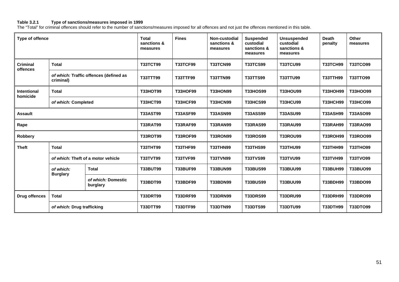#### **Table 3.2.1 Type of sanctions/measures imposed in 1999**

The "Total" for criminal offences should refer to the number of sanctions/measures imposed for all offences and not just the offences mentioned in this table.

| Type of offence                |                                                     | <b>Total</b><br>sanctions &<br>measures | <b>Fines</b>    | Non-custodial<br>sanctions &<br>measures | <b>Suspended</b><br>custodial<br>sanctions &<br>measures | <b>Unsuspended</b><br>custodial<br>sanctions &<br>measures | <b>Death</b><br>penalty | <b>Other</b><br>measures |                 |
|--------------------------------|-----------------------------------------------------|-----------------------------------------|-----------------|------------------------------------------|----------------------------------------------------------|------------------------------------------------------------|-------------------------|--------------------------|-----------------|
| <b>Criminal</b><br>offences    | <b>Total</b>                                        |                                         | <b>T33TCT99</b> | <b>T33TCF99</b>                          | <b>T33TCN99</b>                                          | <b>T33TCS99</b>                                            | <b>T33TCU99</b>         | <b>T33TCH99</b>          | <b>T33TCO99</b> |
|                                | of which: Traffic offences (defined as<br>criminal) |                                         | T33TTT99        | <b>T33TTF99</b>                          | <b>T33TTN99</b>                                          | <b>T33TTS99</b>                                            | <b>T33TTU99</b>         | <b>T33TTH99</b>          | T33TTO99        |
| <b>Intentional</b><br>homicide | <b>Total</b>                                        |                                         | <b>T33HOT99</b> | <b>T33HOF99</b>                          | <b>T33HON99</b>                                          | <b>T33HOS99</b>                                            | <b>T33HOU99</b>         | <b>T33HOH99</b>          | T33HOO99        |
|                                | of which: Completed                                 |                                         | <b>T33HCT99</b> | <b>T33HCF99</b>                          | <b>T33HCN99</b>                                          | <b>T33HCS99</b>                                            | <b>T33HCU99</b>         | <b>T33HCH99</b>          | <b>T33HCO99</b> |
| <b>Assault</b>                 |                                                     | <b>T33AST99</b>                         | <b>T33ASF99</b> | <b>T33ASN99</b>                          | <b>T33ASS99</b>                                          | <b>T33ASU99</b>                                            | <b>T33ASH99</b>         | <b>T33ASO99</b>          |                 |
| Rape                           |                                                     | <b>T33RAT99</b>                         | <b>T33RAF99</b> | <b>T33RAN99</b>                          | <b>T33RAS99</b>                                          | <b>T33RAU99</b>                                            | <b>T33RAH99</b>         | T33RAO99                 |                 |
| Robbery                        |                                                     |                                         | <b>T33ROT99</b> | <b>T33ROF99</b>                          | <b>T33RON99</b>                                          | <b>T33ROS99</b>                                            | <b>T33ROU99</b>         | <b>T33ROH99</b>          | T33ROO99        |
| <b>Theft</b>                   | <b>Total</b>                                        |                                         | <b>T33THT99</b> | <b>T33THF99</b>                          | <b>T33THN99</b>                                          | <b>T33THS99</b>                                            | <b>T33THU99</b>         | <b>T33THH99</b>          | <b>T33THO99</b> |
|                                | of which: Theft of a motor vehicle                  |                                         | <b>T33TVT99</b> | <b>T33TVF99</b>                          | <b>T33TVN99</b>                                          | <b>T33TVS99</b>                                            | <b>T33TVU99</b>         | <b>T33TVH99</b>          | T33TVO99        |
|                                | of which:<br><b>Burglary</b>                        | <b>Total</b>                            | <b>T33BUT99</b> | <b>T33BUF99</b>                          | <b>T33BUN99</b>                                          | <b>T33BUS99</b>                                            | <b>T33BUU99</b>         | <b>T33BUH99</b>          | <b>T33BUO99</b> |
|                                |                                                     | of which: Domestic<br>burglary          | <b>T33BDT99</b> | <b>T33BDF99</b>                          | <b>T33BDN99</b>                                          | <b>T33BUS99</b>                                            | <b>T33BUU99</b>         | <b>T33BDH99</b>          | T33BDO99        |
| <b>Drug offences</b>           | <b>Total</b>                                        |                                         | <b>T33DRT99</b> | <b>T33DRF99</b>                          | <b>T33DRN99</b>                                          | <b>T33DRS99</b>                                            | <b>T33DRU99</b>         | <b>T33DRH99</b>          | <b>T33DRO99</b> |
|                                | of which: Drug trafficking                          |                                         | <b>T33DTT99</b> | T33DTF99                                 | <b>T33DTN99</b>                                          | <b>T33DTS99</b>                                            | <b>T33DTU99</b>         | <b>T33DTH99</b>          | T33DTO99        |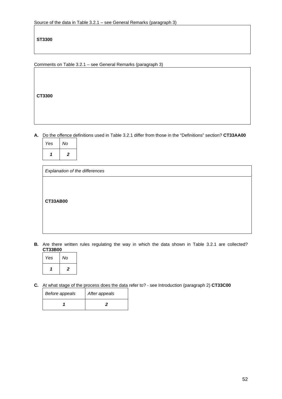**ST3300**

Comments on Table 3.2.1 – see General Remarks (paragraph 3)

**CT3300**

**A.** Do the offence definitions used in Table 3.2.1 differ from those in the "Definitions" section? **CT33AA00**

| Yes | No |
|-----|----|
|     | 2  |

| Explanation of the differences |  |  |  |
|--------------------------------|--|--|--|
|                                |  |  |  |
|                                |  |  |  |
|                                |  |  |  |
| <b>CT33AB00</b>                |  |  |  |
|                                |  |  |  |
|                                |  |  |  |
|                                |  |  |  |

**B.** Are there written rules regulating the way in which the data shown in Table 3.2.1 are collected? **CT33B00**

| Yes | No             |
|-----|----------------|
|     | $\overline{2}$ |

**C.** At what stage of the process does the data refer to? - see Introduction (paragraph 2) **CT33C00**

| Before appeals | After appeals |
|----------------|---------------|
|                |               |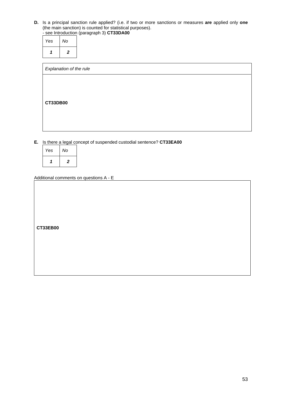**D.** Is a principal sanction rule applied? (i.e. if two or more sanctions or measures **are** applied only **one** (the main sanction) is counted for statistical purposes). - see Introduction (paragraph 3) **CT33DA00**

| Yes No      |
|-------------|
| $1 \quad 2$ |

| Explanation of the rule |  |
|-------------------------|--|
|                         |  |
|                         |  |
| <b>CT33DB00</b>         |  |
|                         |  |
|                         |  |

**E.** Is there a legal concept of suspended custodial sentence? **CT33EA00**

| Yes | No             |
|-----|----------------|
|     | $\overline{2}$ |

Additional comments on questions A - E

**CT33EB00**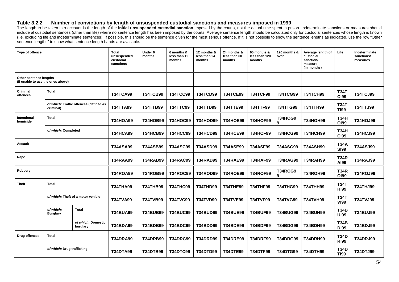#### **Table 3.2.2 Number of convictions by length of unsuspended custodial sanctions and measures imposed in 1999**

The length to be taken into account is the length of the initial unsuspended custodial sanction imposed by the courts, not the actual time spent in prison. Indeterminate sanctions or measures should include al custodial sentences (other than life) where no sentence length has been imposed by the courts. Average sentence length should be calculated only for custodial sentences whose length is known (i.e. excluding life and indeterminate sentences). If possible, this should be the sentence given for the most serious offence. If it is not possible to show the sentence lengths as indicated, use the row "Other sentence lengths" to show what sentence length bands are available.

| Type of offence                                             |                              | Total<br>unsuspended<br>custodial<br>sanctions | Under 6<br>months | 6 months &<br>less than 12<br>months | 12 months &<br>less than 24<br>months | 24 months &<br>less than 60<br>months | 60 months &<br>less than 120<br>months | 120 months &<br>over | Average length of<br>custodial<br>sanction/<br>measure<br>(in months) | Life            | Indeterminate<br>sanctions/<br>measures |                 |
|-------------------------------------------------------------|------------------------------|------------------------------------------------|-------------------|--------------------------------------|---------------------------------------|---------------------------------------|----------------------------------------|----------------------|-----------------------------------------------------------------------|-----------------|-----------------------------------------|-----------------|
| Other sentence lengths<br>(if unable to use the ones above) |                              |                                                |                   |                                      |                                       |                                       |                                        |                      |                                                                       |                 |                                         |                 |
| Criminal<br>offences                                        | Total                        |                                                | <b>T34TCA99</b>   | <b>T34TCB99</b>                      | <b>T34TCC99</b>                       | <b>T34TCD99</b>                       | <b>T34TCE99</b>                        | <b>T34TCF99</b>      | <b>T34TCG99</b>                                                       | <b>T34TCH99</b> | <b>T34T</b><br><b>CI99</b>              | <b>T34TCJ99</b> |
|                                                             | criminal)                    | of which: Traffic offences (defined as         | <b>T34TTA99</b>   | <b>T34TTB99</b>                      | <b>T34TTC99</b>                       | <b>T34TTD99</b>                       | <b>T34TTE99</b>                        | <b>T34TTF99</b>      | <b>T34TTG99</b>                                                       | <b>T34TTH99</b> | <b>T34T</b><br><b>TI99</b>              | T34TTJ99        |
| Intentional<br>homicide                                     | Total                        |                                                | <b>T34HOA99</b>   | <b>T34HOB99</b>                      | <b>T34HOC99</b>                       | <b>T34HOD99</b>                       | <b>T34HOE99</b>                        | <b>T34HOF99</b>      | <b>T34HOG9</b><br>9                                                   | <b>T34HOH99</b> | <b>T34H</b><br>OI99                     | <b>T34HOJ99</b> |
|                                                             | of which: Completed          |                                                | <b>T34HCA99</b>   | <b>T34HCB99</b>                      | <b>T34HCC99</b>                       | <b>T34HCD99</b>                       | <b>T34HCE99</b>                        | <b>T34HCF99</b>      | <b>T34HCG99</b>                                                       | <b>T34HCH99</b> | <b>T34H</b><br><b>CI99</b>              | <b>T34HCJ99</b> |
| <b>Assault</b>                                              |                              |                                                | <b>T34ASA99</b>   | <b>T34ASB99</b>                      | <b>T34ASC99</b>                       | <b>T34ASD99</b>                       | <b>T34ASE99</b>                        | <b>T34ASF99</b>      | <b>T34ASG99</b>                                                       | <b>T34ASH99</b> | <b>T34A</b><br><b>SI99</b>              | <b>T34ASJ99</b> |
| Rape                                                        |                              |                                                | T34RAA99          | <b>T34RAB99</b>                      | <b>T34RAC99</b>                       | <b>T34RAD99</b>                       | <b>T34RAE99</b>                        | <b>T34RAF99</b>      | <b>T34RAG99</b>                                                       | <b>T34RAH99</b> | <b>T34R</b><br>A199                     | <b>T34RAJ99</b> |
| Robbery                                                     |                              |                                                | <b>T34ROA99</b>   | <b>T34ROB99</b>                      | <b>T34ROC99</b>                       | <b>T34ROD99</b>                       | <b>T34ROE99</b>                        | <b>T34ROF99</b>      | <b>T34ROG9</b><br>9                                                   | <b>T34ROH99</b> | <b>T34R</b><br>OI99                     | <b>T34ROJ99</b> |
| <b>Theft</b>                                                | <b>Total</b>                 |                                                | <b>T34THA99</b>   | <b>T34THB99</b>                      | <b>T34THC99</b>                       | <b>T34THD99</b>                       | <b>T34THE99</b>                        | <b>T34THF99</b>      | <b>T34THG99</b>                                                       | <b>T34THH99</b> | <b>T34T</b><br><b>HI99</b>              | <b>T34THJ99</b> |
|                                                             |                              | of which: Theft of a motor vehicle             | <b>T34TVA99</b>   | <b>T34TVB99</b>                      | <b>T34TVC99</b>                       | <b>T34TVD99</b>                       | <b>T34TVE99</b>                        | <b>T34TVF99</b>      | <b>T34TVG99</b>                                                       | <b>T34TVH99</b> | <b>T34T</b><br><b>VI99</b>              | <b>T34TVJ99</b> |
|                                                             | of which:<br><b>Burglary</b> | <b>Total</b>                                   | <b>T34BUA99</b>   | <b>T34BUB99</b>                      | <b>T34BUC99</b>                       | <b>T34BUD99</b>                       | <b>T34BUE99</b>                        | <b>T34BUF99</b>      | <b>T34BUG99</b>                                                       | <b>T34BUH99</b> | <b>T34B</b><br><b>UI99</b>              | <b>T34BUJ99</b> |
|                                                             |                              | of which: Domestic<br>burglary                 | <b>T34BDA99</b>   | <b>T34BDB99</b>                      | <b>T34BDC99</b>                       | <b>T34BDD99</b>                       | <b>T34BDE99</b>                        | <b>T34BDF99</b>      | <b>T34BDG99</b>                                                       | <b>T34BDH99</b> | <b>T34B</b><br><b>DI99</b>              | T34BDJ99        |
| <b>Drug offences</b>                                        | <b>Total</b>                 |                                                | <b>T34DRA99</b>   | <b>T34DRB99</b>                      | <b>T34DRC99</b>                       | <b>T34DRD99</b>                       | <b>T34DRE99</b>                        | <b>T34DRF99</b>      | <b>T34DRG99</b>                                                       | <b>T34DRH99</b> | <b>T34D</b><br><b>RI99</b>              | <b>T34DRJ99</b> |
|                                                             | of which: Drug trafficking   |                                                | <b>T34DTA99</b>   | <b>T34DTB99</b>                      | <b>T34DTC99</b>                       | <b>T34DTD99</b>                       | <b>T34DTE99</b>                        | <b>T34DTF99</b>      | <b>T34DTG99</b>                                                       | <b>T34DTH99</b> | <b>T34D</b><br><b>TI99</b>              | T34DTJ99        |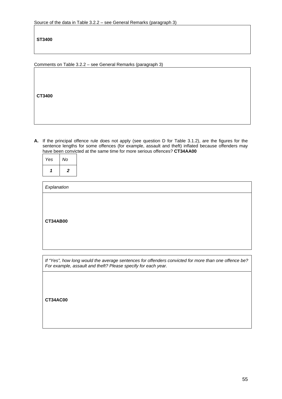**ST3400**

Comments on Table 3.2.2 – see General Remarks (paragraph 3)

**CT3400**

**A.** If the principal offence rule does not apply (see question D for Table 3.1.2), are the figures for the sentence lengths for some offences (for example, assault and theft) inflated because offenders may have been convicted at the same time for more serious offences? **CT34AA00**

| Yes | No |
|-----|----|
|     | 2  |

| <b>CT34AB00</b> | Explanation |  |
|-----------------|-------------|--|
|                 |             |  |

*If "Yes", how long would the average sentences for offenders convicted for more than one offence be? For example, assault and theft? Please specify for each year.* 

**CT34AC00**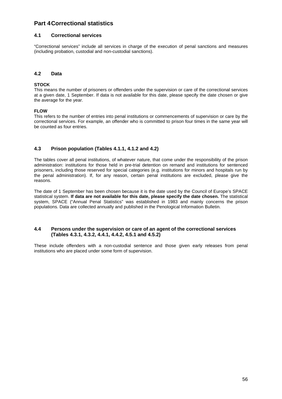# **Part 4 Correctional statistics**

#### **4.1 Correctional services**

"Correctional services" include all services in charge of the execution of penal sanctions and measures (including probation, custodial and non-custodial sanctions).

#### **4.2 Data**

#### **STOCK**

This means the number of prisoners or offenders under the supervision or care of the correctional services at a given date, 1 September. If data is not available for this date, please specify the date chosen or give the average for the year.

#### **FLOW**

This refers to the number of entries into penal institutions or commencements of supervision or care by the correctional services. For example, an offender who is committed to prison four times in the same year will be counted as four entries.

#### **4.3 Prison population (Tables 4.1.1, 4.1.2 and 4.2)**

The tables cover all penal institutions, of whatever nature, that come under the responsibility of the prison administration: institutions for those held in pre-trial detention on remand and institutions for sentenced prisoners, including those reserved for special categories (e.g. institutions for minors and hospitals run by the penal administration). If, for any reason, certain penal institutions are excluded, please give the reasons.

The date of 1 September has been chosen because it is the date used by the Council of Europe's SPACE statistical system. **If data are not available for this date, please specify the date chosen.** The statistical system, SPACE ("Annual Penal Statistics" was established in 1983 and mainly concerns the prison populations. Data are collected annually and published in the Penological Information Bulletin.

#### **4.4 Persons under the supervision or care of an agent of the correctional services (Tables 4.3.1, 4.3.2, 4.4.1, 4.4.2, 4.5.1 and 4.5.2)**

These include offenders with a non-custodial sentence and those given early releases from penal institutions who are placed under some form of supervision.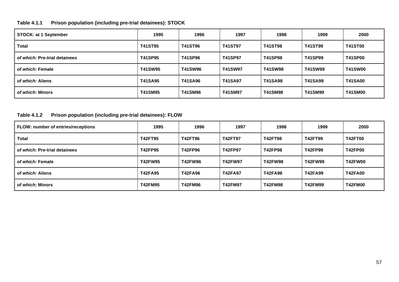# **Table 4.1.1 Prison population (including pre-trial detainees): STOCK**

| <b>STOCK: at 1 September</b>  | 1995           | 1996           | 1997           | 1998           | 1999           | 2000           |
|-------------------------------|----------------|----------------|----------------|----------------|----------------|----------------|
| <b>Total</b>                  | <b>T41ST95</b> | <b>T41ST96</b> | <b>T41ST97</b> | <b>T41ST98</b> | <b>T41ST99</b> | <b>T41ST00</b> |
| of which: Pre-trial detainees | <b>T41SP95</b> | <b>T41SP96</b> | <b>T41SP97</b> | <b>T41SP98</b> | <b>T41SP99</b> | <b>T41SP00</b> |
| of which: Female              | <b>T41SW95</b> | <b>T41SW96</b> | <b>T41SW97</b> | <b>T41SW98</b> | <b>T41SW99</b> | <b>T41SW00</b> |
| of which: Aliens              | <b>T41SA95</b> | <b>T41SA96</b> | <b>T41SA97</b> | <b>T41SA98</b> | <b>T41SA99</b> | <b>T41SA00</b> |
| of which: Minors              | <b>T41SM95</b> | T41SM96        | <b>T41SM97</b> | <b>T41SM98</b> | <b>T41SM99</b> | <b>T41SM00</b> |

# **Table 4.1.2 Prison population (including pre-trial detainees): FLOW**

| FLOW: number of entries/receptions | 1995           | 1996           | 1997           | 1998           | 1999           | 2000           |
|------------------------------------|----------------|----------------|----------------|----------------|----------------|----------------|
| <b>Total</b>                       | <b>T42FT95</b> | <b>T42FT96</b> | <b>T42FT97</b> | <b>T42FT98</b> | <b>T42FT99</b> | <b>T42FT00</b> |
| of which: Pre-trial detainees      | <b>T42FP95</b> | T42FP96        | <b>T42FP97</b> | <b>T42FP98</b> | T42FP99        | <b>T42FP00</b> |
| of which: Female                   | <b>T42FW95</b> | <b>T42FW96</b> | <b>T42FW97</b> | <b>T42FW98</b> | <b>T42FW99</b> | <b>T42FW00</b> |
| of which: Aliens                   | <b>T42FA95</b> | <b>T42FA96</b> | <b>T42FA97</b> | <b>T42FA98</b> | <b>T42FA99</b> | <b>T42FA00</b> |
| of which: Minors                   | <b>T42FM95</b> | <b>T42FM96</b> | <b>T42FM97</b> | <b>T42FM98</b> | <b>T42FM99</b> | <b>T42FM00</b> |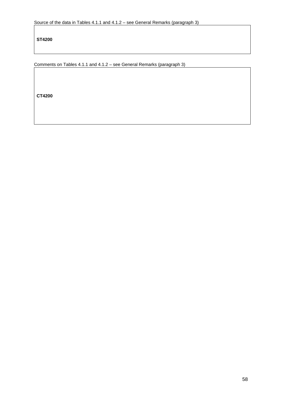**ST4200**

Comments on Tables 4.1.1 and 4.1.2 – see General Remarks (paragraph 3)

**CT4200**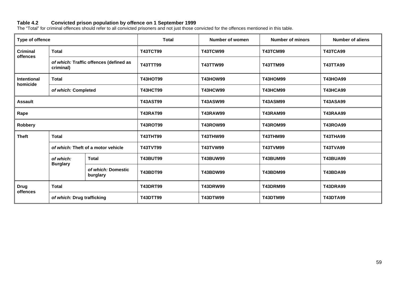#### **Table 4.2 Convicted prison population by offence on 1 September 1999**

The "Total" for criminal offences should refer to all convicted prisoners and not just those convicted for the offences mentioned in this table.

| Type of offence             |                                    |                                        | <b>Total</b>    | Number of women                    | <b>Number of minors</b> | <b>Number of aliens</b> |
|-----------------------------|------------------------------------|----------------------------------------|-----------------|------------------------------------|-------------------------|-------------------------|
| <b>Criminal</b><br>offences | <b>Total</b>                       |                                        | <b>T43TCT99</b> | <b>T43TCW99</b>                    | <b>T43TCM99</b>         | <b>T43TCA99</b>         |
|                             | criminal)                          | of which: Traffic offences (defined as | T43TTT99        | <b>T43TTW99</b>                    | <b>T43TTM99</b>         | <b>T43TTA99</b>         |
| Intentional<br>homicide     | <b>Total</b>                       |                                        | <b>T43HOT99</b> | <b>T43HOW99</b>                    | <b>T43HOM99</b>         | <b>T43HOA99</b>         |
|                             | of which: Completed                |                                        | <b>T43HCT99</b> | <b>T43HCW99</b>                    | <b>T43HCM99</b>         | <b>T43HCA99</b>         |
| <b>Assault</b>              |                                    |                                        | <b>T43AST99</b> | <b>T43ASW99</b>                    | <b>T43ASM99</b>         | <b>T43ASA99</b>         |
| Rape                        |                                    |                                        | <b>T43RAT99</b> | <b>T43RAW99</b>                    | <b>T43RAM99</b>         | <b>T43RAA99</b>         |
| Robbery                     |                                    |                                        | <b>T43ROT99</b> | <b>T43ROW99</b>                    | <b>T43ROM99</b>         | <b>T43ROA99</b>         |
| <b>Theft</b>                | <b>Total</b>                       |                                        | <b>T43THT99</b> | <b>T43THW99</b>                    | <b>T43THM99</b>         | <b>T43THA99</b>         |
|                             | of which: Theft of a motor vehicle |                                        | <b>T43TVT99</b> | <b>T43TVW99</b>                    | <b>T43TVM99</b>         | <b>T43TVA99</b>         |
|                             | of which:<br><b>Burglary</b>       | <b>Total</b>                           | <b>T43BUT99</b> | <b>T43BUW99</b>                    | <b>T43BUM99</b>         | <b>T43BUA99</b>         |
|                             |                                    | of which: Domestic<br>burglary         | <b>T43BDT99</b> | <b>T43BDW99</b><br><b>T43BDM99</b> |                         | <b>T43BDA99</b>         |
| <b>Drug</b><br>offences     | <b>Total</b>                       |                                        | <b>T43DRT99</b> | <b>T43DRW99</b>                    | <b>T43DRM99</b>         | <b>T43DRA99</b>         |
|                             | of which: Drug trafficking         |                                        | <b>T43DTT99</b> | <b>T43DTW99</b>                    | <b>T43DTM99</b>         | <b>T43DTA99</b>         |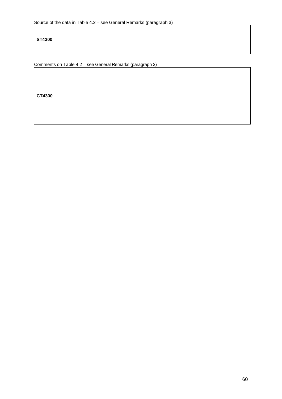**ST4300**

Comments on Table 4.2 – see General Remarks (paragraph 3)

**CT4300**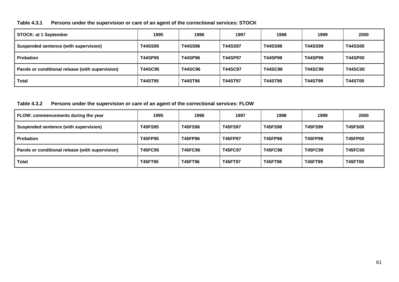#### **Table 4.3.1 Persons under the supervision or care of an agent of the correctional services: STOCK**

| <b>STOCK: at 1 September</b>                     | 1995           | 1996           | 1997           | 1998           | 1999           | 2000           |
|--------------------------------------------------|----------------|----------------|----------------|----------------|----------------|----------------|
| Suspended sentence (with supervision)            | <b>T44SS95</b> | <b>T44SS96</b> | <b>T44SS97</b> | <b>T44SS98</b> | T44SS99        | <b>T44SS00</b> |
| <b>Probation</b>                                 | <b>T44SP95</b> | <b>T44SP96</b> | <b>T44SP97</b> | <b>T44SP98</b> | <b>T44SP99</b> | <b>T44SP00</b> |
| Parole or conditional release (with supervision) | <b>T44SC95</b> | <b>T44SC96</b> | <b>T44SC97</b> | <b>T44SC98</b> | <b>T44SC99</b> | <b>T44SC00</b> |
| <b>Total</b>                                     | <b>T44ST95</b> | <b>T44ST96</b> | <b>T44ST97</b> | <b>T44ST98</b> | <b>T44ST99</b> | <b>T44ST00</b> |

**Table 4.3.2 Persons under the supervision or care of an agent of the correctional services: FLOW** 

| FLOW: commencements during the year              | 1995           | 1996           | 1997           | 1998           | 1999           | 2000           |
|--------------------------------------------------|----------------|----------------|----------------|----------------|----------------|----------------|
| Suspended sentence (with supervision)            | <b>T45FS95</b> | <b>T45FS96</b> | <b>T45FS97</b> | <b>T45FS98</b> | <b>T45FS99</b> | <b>T45FS00</b> |
| Probation                                        | T45FP95        | <b>T45FP96</b> | <b>T45FP97</b> | <b>T45FP98</b> | T45FP99        | <b>T45FP00</b> |
| Parole or conditional release (with supervision) | <b>T45FC95</b> | <b>T45FC96</b> | <b>T45FC97</b> | <b>T45FC98</b> | <b>T45FC99</b> | <b>T45FC00</b> |
| <b>Total</b>                                     | <b>T45FT95</b> | <b>T45FT96</b> | <b>T45FT97</b> | <b>T45FT98</b> | T45FT99        | <b>T45FT00</b> |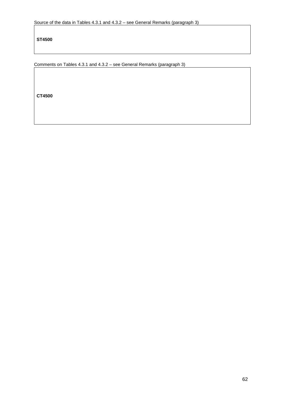**ST4500**

Comments on Tables 4.3.1 and 4.3.2 – see General Remarks (paragraph 3)

**CT4500**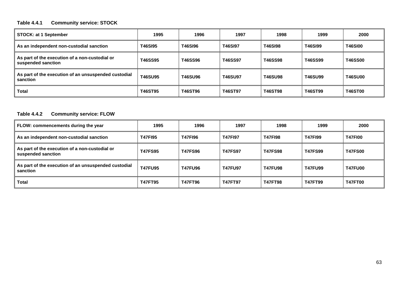# **Table 4.4.1 Community service: STOCK**

| STOCK: at 1 September                                                | 1995           | 1996           | 1997           | 1998           | 1999           | 2000           |
|----------------------------------------------------------------------|----------------|----------------|----------------|----------------|----------------|----------------|
| As an independent non-custodial sanction                             | <b>T46SI95</b> | T46SI96        | <b>T46SI97</b> | <b>T46SI98</b> | <b>T46SI99</b> | <b>T46SI00</b> |
| As part of the execution of a non-custodial or<br>suspended sanction | <b>T46SS95</b> | <b>T46SS96</b> | T46SS97        | T46SS98        | T46SS99        | <b>T46SS00</b> |
| As part of the execution of an unsuspended custodial<br>sanction     | <b>T46SU95</b> | <b>T46SU96</b> | <b>T46SU97</b> | <b>T46SU98</b> | <b>T46SU99</b> | <b>T46SU00</b> |
| <b>Total</b>                                                         | <b>T46ST95</b> | <b>T46ST96</b> | <b>T46ST97</b> | <b>T46ST98</b> | <b>T46ST99</b> | <b>T46ST00</b> |

## **Table 4.4.2 Community service: FLOW**

| FLOW: commencements during the year                                  | 1995           | 1996           | 1997           | 1998           | 1999           | 2000           |
|----------------------------------------------------------------------|----------------|----------------|----------------|----------------|----------------|----------------|
| As an independent non-custodial sanction                             | <b>T47F195</b> | <b>T47F196</b> | <b>T47F197</b> | <b>T47F198</b> | <b>T47F199</b> | <b>T47F100</b> |
| As part of the execution of a non-custodial or<br>suspended sanction | <b>T47FS95</b> | <b>T47FS96</b> | <b>T47FS97</b> | <b>T47FS98</b> | <b>T47FS99</b> | <b>T47FS00</b> |
| As part of the execution of an unsuspended custodial<br>sanction     | <b>T47FU95</b> | <b>T47FU96</b> | <b>T47FU97</b> | <b>T47FU98</b> | <b>T47FU99</b> | <b>T47FU00</b> |
| <b>Total</b>                                                         | <b>T47FT95</b> | <b>T47FT96</b> | <b>T47FT97</b> | <b>T47FT98</b> | <b>T47FT99</b> | <b>T47FT00</b> |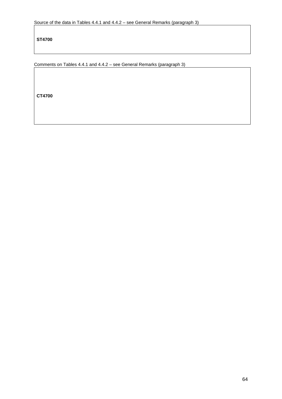**ST4700**

Comments on Tables 4.4.1 and 4.4.2 – see General Remarks (paragraph 3)

**CT4700**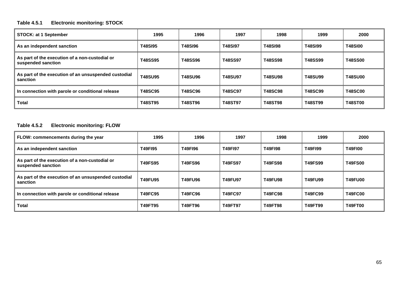## **Table 4.5.1 Electronic monitoring: STOCK**

| <b>STOCK: at 1 September</b>                                         | 1995           | 1996           | 1997           | 1998           | 1999           | 2000           |
|----------------------------------------------------------------------|----------------|----------------|----------------|----------------|----------------|----------------|
| As an independent sanction                                           | <b>T48SI95</b> | <b>T48SI96</b> | <b>T48SI97</b> | <b>T48SI98</b> | <b>T48SI99</b> | <b>T48SI00</b> |
| As part of the execution of a non-custodial or<br>suspended sanction | <b>T48SS95</b> | <b>T48SS96</b> | <b>T48SS97</b> | <b>T48SS98</b> | T48SS99        | <b>T48SS00</b> |
| As part of the execution of an unsuspended custodial<br>sanction     | <b>T48SU95</b> | <b>T48SU96</b> | <b>T48SU97</b> | <b>T48SU98</b> | <b>T48SU99</b> | <b>T48SU00</b> |
| In connection with parole or conditional release                     | <b>T48SC95</b> | <b>T48SC96</b> | <b>T48SC97</b> | <b>T48SC98</b> | <b>T48SC99</b> | <b>T48SC00</b> |
| <b>Total</b>                                                         | <b>T48ST95</b> | <b>T48ST96</b> | <b>T48ST97</b> | <b>T48ST98</b> | <b>T48ST99</b> | <b>T48ST00</b> |

# **Table 4.5.2 Electronic monitoring: FLOW**

| FLOW: commencements during the year                                  | 1995           | 1996           | 1997           | 1998           | 1999           | 2000           |
|----------------------------------------------------------------------|----------------|----------------|----------------|----------------|----------------|----------------|
| As an independent sanction                                           | <b>T49FI95</b> | <b>T49FI96</b> | <b>T49F197</b> | <b>T49FI98</b> | <b>T49F199</b> | <b>T49F100</b> |
| As part of the execution of a non-custodial or<br>suspended sanction | <b>T49FS95</b> | <b>T49FS96</b> | <b>T49FS97</b> | <b>T49FS98</b> | <b>T49FS99</b> | <b>T49FS00</b> |
| As part of the execution of an unsuspended custodial<br>sanction     | <b>T49FU95</b> | <b>T49FU96</b> | <b>T49FU97</b> | <b>T49FU98</b> | <b>T49FU99</b> | <b>T49FU00</b> |
| In connection with parole or conditional release                     | <b>T49FC95</b> | <b>T49FC96</b> | <b>T49FC97</b> | <b>T49FC98</b> | <b>T49FC99</b> | <b>T49FC00</b> |
| <b>Total</b>                                                         | <b>T49FT95</b> | <b>T49FT96</b> | <b>T49FT97</b> | T49FT98        | <b>T49FT99</b> | <b>T49FT00</b> |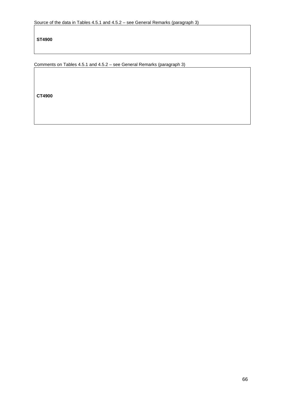**ST4900**

Comments on Tables 4.5.1 and 4.5.2 – see General Remarks (paragraph 3)

**CT4900**